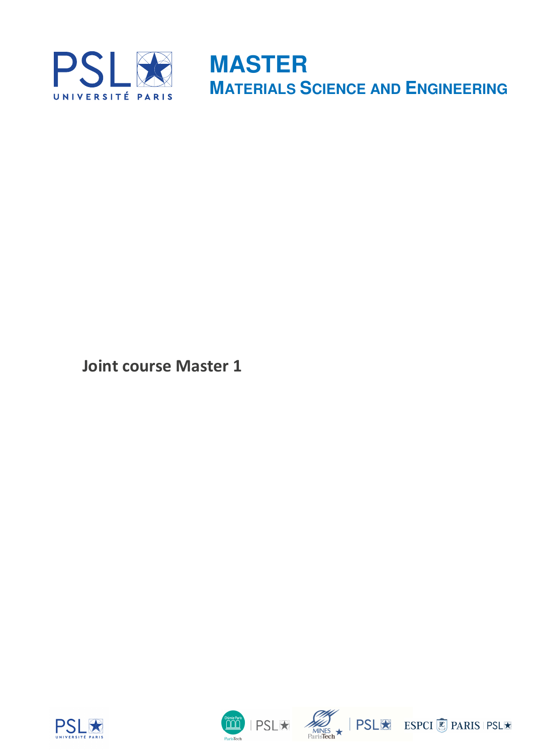

**Joint course Master 1**







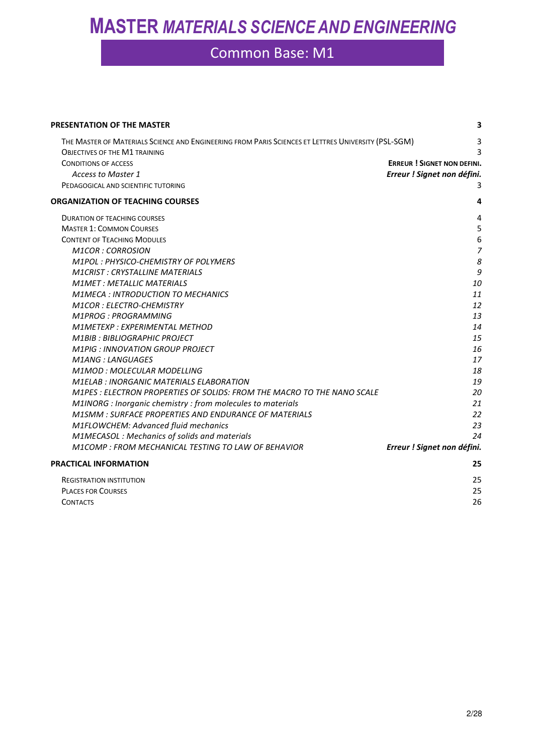| PRESENTATION OF THE MASTER                                                                                                                  | 3                                  |
|---------------------------------------------------------------------------------------------------------------------------------------------|------------------------------------|
| THE MASTER OF MATERIALS SCIENCE AND ENGINEERING FROM PARIS SCIENCES ET LETTRES UNIVERSITY (PSL-SGM)<br><b>OBJECTIVES OF THE M1 TRAINING</b> | 3<br>ς                             |
| <b>CONDITIONS OF ACCESS</b>                                                                                                                 | <b>ERREUR ! SIGNET NON DEFINI.</b> |
| <b>Access to Master 1</b>                                                                                                                   | Erreur ! Signet non défini.        |
| PEDAGOGICAL AND SCIENTIFIC TUTORING                                                                                                         | 3                                  |
| <b>ORGANIZATION OF TEACHING COURSES</b>                                                                                                     | 4                                  |
| <b>DURATION OF TEACHING COURSES</b>                                                                                                         | $\overline{4}$                     |
| <b>MASTER 1: COMMON COURSES</b>                                                                                                             | 5                                  |
| <b>CONTENT OF TEACHING MODULES</b>                                                                                                          | 6                                  |
| <b>M1COR: CORROSION</b>                                                                                                                     | $\overline{7}$                     |
| M1POL: PHYSICO-CHEMISTRY OF POLYMERS                                                                                                        | 8                                  |
| <b>M1CRIST: CRYSTALLINE MATERIALS</b>                                                                                                       | 9                                  |
| <b>M1MET: METALLIC MATERIALS</b>                                                                                                            | 10                                 |
| <b>M1MECA: INTRODUCTION TO MECHANICS</b>                                                                                                    | 11                                 |
| <b>M1COR: ELECTRO-CHEMISTRY</b>                                                                                                             | 12                                 |
| <b>M1PROG: PROGRAMMING</b>                                                                                                                  | 13                                 |
| M1METEXP : EXPERIMENTAL METHOD                                                                                                              | 14                                 |
| <b>M1BIB: BIBLIOGRAPHIC PROJECT</b>                                                                                                         | 15                                 |
| <b>M1PIG: INNOVATION GROUP PROJECT</b>                                                                                                      | 16                                 |
| <b>M1ANG: LANGUAGES</b>                                                                                                                     | 17                                 |
| M1MOD: MOLECULAR MODELLING                                                                                                                  | 18                                 |
| <b>M1ELAB: INORGANIC MATERIALS ELABORATION</b>                                                                                              | 19                                 |
| M1PES : ELECTRON PROPERTIES OF SOLIDS: FROM THE MACRO TO THE NANO SCALE                                                                     | 20                                 |
| M1INORG : Inorganic chemistry : from molecules to materials                                                                                 | 21                                 |
| M1SMM : SURFACE PROPERTIES AND ENDURANCE OF MATERIALS                                                                                       | 22                                 |
| M1FLOWCHEM: Advanced fluid mechanics                                                                                                        | 23                                 |
| M1MECASOL: Mechanics of solids and materials                                                                                                | 24                                 |
| M1COMP: FROM MECHANICAL TESTING TO LAW OF BEHAVIOR                                                                                          | Erreur ! Signet non défini.        |
| <b>PRACTICAL INFORMATION</b>                                                                                                                | 25                                 |
| <b>REGISTRATION INSTITUTION</b>                                                                                                             | 25                                 |
| <b>PLACES FOR COURSES</b>                                                                                                                   | 25                                 |
| <b>CONTACTS</b>                                                                                                                             | 26                                 |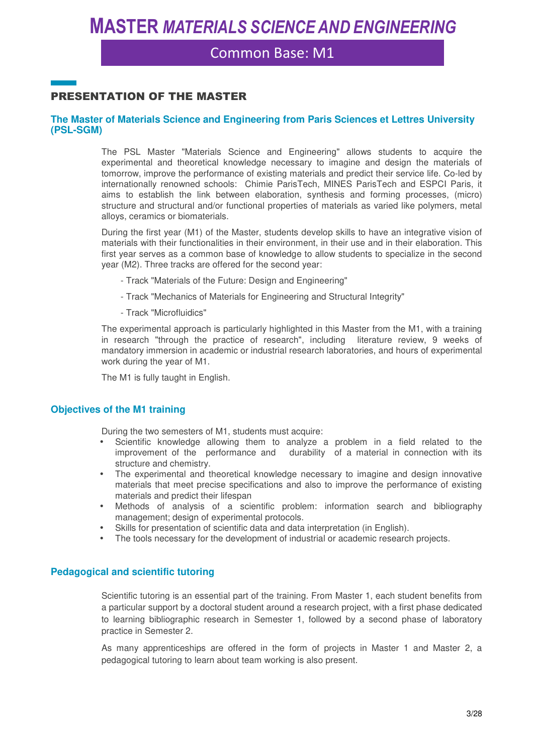Common Base: M1

### PRESENTATION OF THE MASTER

#### **The Master of Materials Science and Engineering from Paris Sciences et Lettres University (PSL-SGM)**

The PSL Master "Materials Science and Engineering" allows students to acquire the experimental and theoretical knowledge necessary to imagine and design the materials of tomorrow, improve the performance of existing materials and predict their service life. Co-led by internationally renowned schools: Chimie ParisTech, MINES ParisTech and ESPCI Paris, it aims to establish the link between elaboration, synthesis and forming processes, (micro) structure and structural and/or functional properties of materials as varied like polymers, metal alloys, ceramics or biomaterials.

During the first year (M1) of the Master, students develop skills to have an integrative vision of materials with their functionalities in their environment, in their use and in their elaboration. This first year serves as a common base of knowledge to allow students to specialize in the second year (M2). Three tracks are offered for the second year:

- Track "Materials of the Future: Design and Engineering"
- Track "Mechanics of Materials for Engineering and Structural Integrity"
- Track "Microfluidics"

The experimental approach is particularly highlighted in this Master from the M1, with a training in research "through the practice of research", including literature review, 9 weeks of mandatory immersion in academic or industrial research laboratories, and hours of experimental work during the year of M1.

The M1 is fully taught in English.

#### **Objectives of the M1 training**

During the two semesters of M1, students must acquire:

- Scientific knowledge allowing them to analyze a problem in a field related to the improvement of the performance and durability of a material in connection with its structure and chemistry.
- The experimental and theoretical knowledge necessary to imagine and design innovative materials that meet precise specifications and also to improve the performance of existing materials and predict their lifespan
- Methods of analysis of a scientific problem: information search and bibliography management; design of experimental protocols.
- Skills for presentation of scientific data and data interpretation (in English).
- The tools necessary for the development of industrial or academic research projects.

#### **Pedagogical and scientific tutoring**

Scientific tutoring is an essential part of the training. From Master 1, each student benefits from a particular support by a doctoral student around a research project, with a first phase dedicated to learning bibliographic research in Semester 1, followed by a second phase of laboratory practice in Semester 2.

As many apprenticeships are offered in the form of projects in Master 1 and Master 2, a pedagogical tutoring to learn about team working is also present.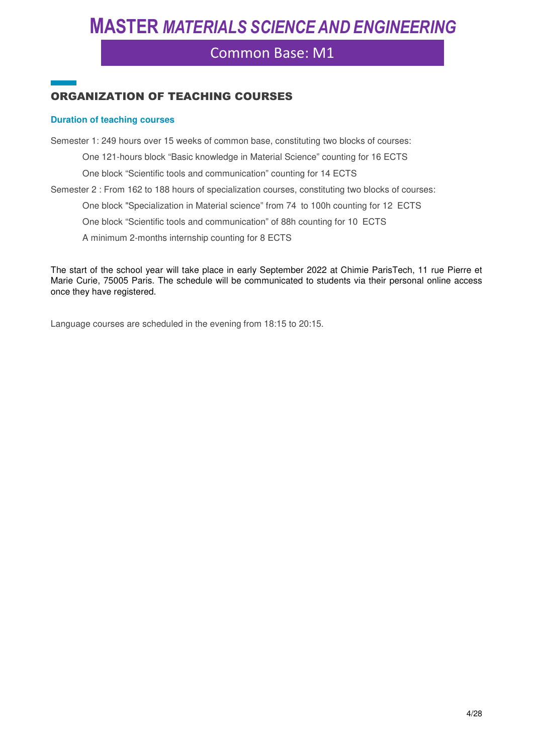### Common Base: M1

### ORGANIZATION OF TEACHING COURSES

#### **Duration of teaching courses**

Semester 1: 249 hours over 15 weeks of common base, constituting two blocks of courses:

One 121-hours block "Basic knowledge in Material Science" counting for 16 ECTS

One block "Scientific tools and communication" counting for 14 ECTS

Semester 2 : From 162 to 188 hours of specialization courses, constituting two blocks of courses:

One block "Specialization in Material science" from 74 to 100h counting for 12 ECTS

One block "Scientific tools and communication" of 88h counting for 10 ECTS

A minimum 2-months internship counting for 8 ECTS

The start of the school year will take place in early September 2022 at Chimie ParisTech, 11 rue Pierre et Marie Curie, 75005 Paris. The schedule will be communicated to students via their personal online access once they have registered.

Language courses are scheduled in the evening from 18:15 to 20:15.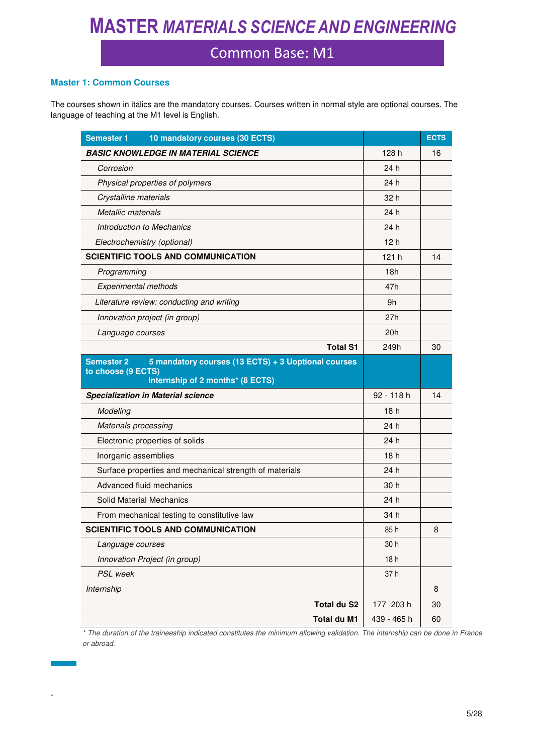### Common Base: M1

#### **Master 1: Common Courses**

.

Ť.

The courses shown in italics are the mandatory courses. Courses written in normal style are optional courses. The language of teaching at the M1 level is English.

| <b>Semester 1</b><br>10 mandatory courses (30 ECTS)                                                                                |                 | <b>ECTS</b> |
|------------------------------------------------------------------------------------------------------------------------------------|-----------------|-------------|
| <b>BASIC KNOWLEDGE IN MATERIAL SCIENCE</b>                                                                                         | 128 h           | 16          |
| Corrosion                                                                                                                          | 24 h            |             |
| Physical properties of polymers                                                                                                    | 24h             |             |
| Crystalline materials                                                                                                              | 32 h            |             |
| Metallic materials                                                                                                                 | 24 h            |             |
| Introduction to Mechanics                                                                                                          | 24 h            |             |
| Electrochemistry (optional)                                                                                                        | 12h             |             |
| <b>SCIENTIFIC TOOLS AND COMMUNICATION</b>                                                                                          | 121 h           | 14          |
| Programming                                                                                                                        | 18h             |             |
| <b>Experimental methods</b>                                                                                                        | 47h             |             |
| Literature review: conducting and writing                                                                                          | 9h              |             |
| Innovation project (in group)                                                                                                      | 27h             |             |
| Language courses                                                                                                                   | 20h             |             |
| <b>Total S1</b>                                                                                                                    | 249h            | 30          |
| 5 mandatory courses (13 ECTS) + 3 Uoptional courses<br><b>Semester 2</b><br>to choose (9 ECTS)<br>Internship of 2 months* (8 ECTS) |                 |             |
| <b>Specialization in Material science</b>                                                                                          | 92 - 118 h      | 14          |
| Modeling                                                                                                                           | 18 h            |             |
| <b>Materials processing</b>                                                                                                        | 24 h            |             |
| Electronic properties of solids                                                                                                    | 24h             |             |
| Inorganic assemblies                                                                                                               | 18 <sub>h</sub> |             |
| Surface properties and mechanical strength of materials                                                                            | 24 h            |             |
| Advanced fluid mechanics                                                                                                           | 30 h            |             |
| Solid Material Mechanics                                                                                                           | 24h             |             |
| From mechanical testing to constitutive law                                                                                        | 34 h            |             |
| <b>SCIENTIFIC TOOLS AND COMMUNICATION</b>                                                                                          | 85h             | 8           |
| Language courses                                                                                                                   | 30 h            |             |
| Innovation Project (in group)                                                                                                      | 18h             |             |
| PSL week                                                                                                                           | 37h             |             |
| Internship                                                                                                                         |                 | 8           |
| <b>Total du S2</b>                                                                                                                 | 177 - 203 h     | 30          |
| Total du M1                                                                                                                        | 439 - 465 h     | 60          |

*\* The duration of the traineeship indicated constitutes the minimum allowing validation. The internship can be done in France or abroad.*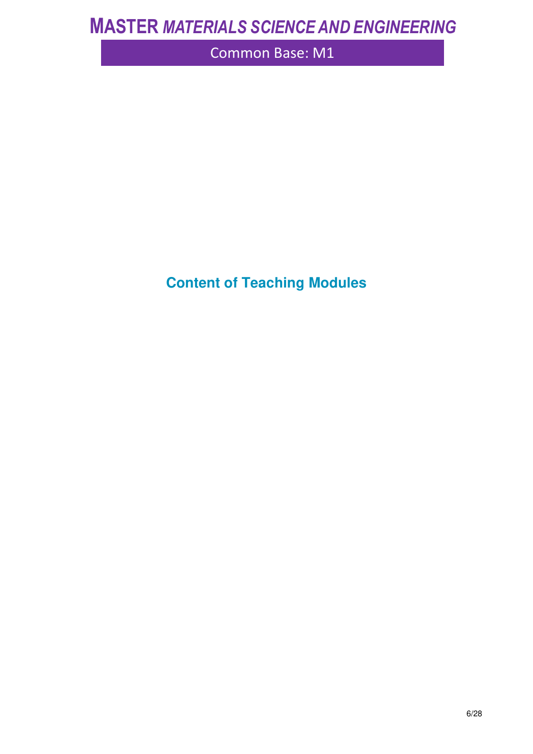Common Base: M1

**Content of Teaching Modules**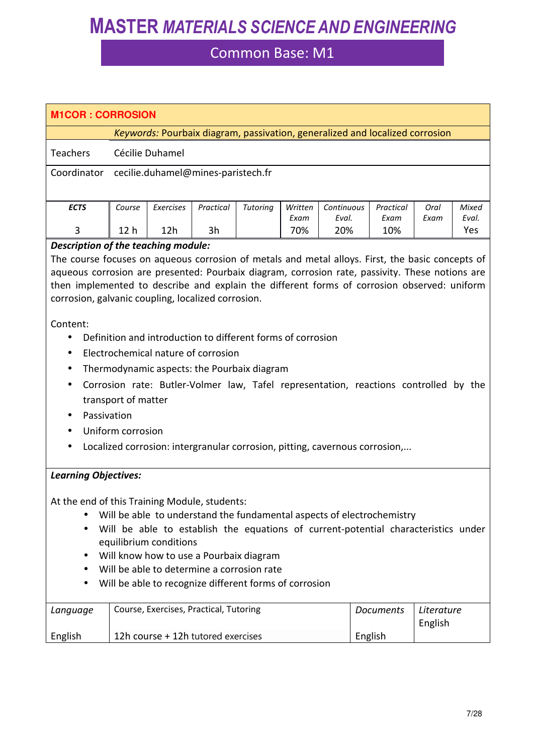| <b>M1COR: CORROSION</b>                                                                                                                                                                                                                                                                                                                                                                                                                                                                                                                                                                                                                                                                                                                                                                                                      |                 |                                                                              |           |                 |                 |                     |                                                                              |                       |                |
|------------------------------------------------------------------------------------------------------------------------------------------------------------------------------------------------------------------------------------------------------------------------------------------------------------------------------------------------------------------------------------------------------------------------------------------------------------------------------------------------------------------------------------------------------------------------------------------------------------------------------------------------------------------------------------------------------------------------------------------------------------------------------------------------------------------------------|-----------------|------------------------------------------------------------------------------|-----------|-----------------|-----------------|---------------------|------------------------------------------------------------------------------|-----------------------|----------------|
|                                                                                                                                                                                                                                                                                                                                                                                                                                                                                                                                                                                                                                                                                                                                                                                                                              |                 |                                                                              |           |                 |                 |                     | Keywords: Pourbaix diagram, passivation, generalized and localized corrosion |                       |                |
| <b>Teachers</b>                                                                                                                                                                                                                                                                                                                                                                                                                                                                                                                                                                                                                                                                                                                                                                                                              | Cécilie Duhamel |                                                                              |           |                 |                 |                     |                                                                              |                       |                |
| Coordinator                                                                                                                                                                                                                                                                                                                                                                                                                                                                                                                                                                                                                                                                                                                                                                                                                  |                 | cecilie.duhamel@mines-paristech.fr                                           |           |                 |                 |                     |                                                                              |                       |                |
| <b>ECTS</b>                                                                                                                                                                                                                                                                                                                                                                                                                                                                                                                                                                                                                                                                                                                                                                                                                  | Course          | Exercises                                                                    | Practical | <b>Tutoring</b> | Written<br>Exam | Continuous<br>Eval. | Practical<br>Exam                                                            | Oral<br>Exam          | Mixed<br>Eval. |
| 3                                                                                                                                                                                                                                                                                                                                                                                                                                                                                                                                                                                                                                                                                                                                                                                                                            | 12 <sub>h</sub> | 12h                                                                          | 3h        |                 | 70%             | 20%                 | 10%                                                                          |                       | Yes            |
| Description of the teaching module:<br>The course focuses on aqueous corrosion of metals and metal alloys. First, the basic concepts of<br>aqueous corrosion are presented: Pourbaix diagram, corrosion rate, passivity. These notions are<br>then implemented to describe and explain the different forms of corrosion observed: uniform<br>corrosion, galvanic coupling, localized corrosion.<br>Content:<br>Definition and introduction to different forms of corrosion<br>Electrochemical nature of corrosion<br>$\bullet$<br>Thermodynamic aspects: the Pourbaix diagram<br>Corrosion rate: Butler-Volmer law, Tafel representation, reactions controlled by the<br>$\bullet$<br>transport of matter<br>Passivation<br>Uniform corrosion<br>Localized corrosion: intergranular corrosion, pitting, cavernous corrosion, |                 |                                                                              |           |                 |                 |                     |                                                                              |                       |                |
| <b>Learning Objectives:</b><br>At the end of this Training Module, students:<br>Will be able to understand the fundamental aspects of electrochemistry<br>Will be able to establish the equations of current-potential characteristics under<br>equilibrium conditions<br>Will know how to use a Pourbaix diagram<br>Will be able to determine a corrosion rate<br>Will be able to recognize different forms of corrosion                                                                                                                                                                                                                                                                                                                                                                                                    |                 |                                                                              |           |                 |                 |                     |                                                                              |                       |                |
| Language<br>English                                                                                                                                                                                                                                                                                                                                                                                                                                                                                                                                                                                                                                                                                                                                                                                                          |                 | Course, Exercises, Practical, Tutoring<br>12h course + 12h tutored exercises |           |                 |                 |                     | <b>Documents</b><br>English                                                  | Literature<br>English |                |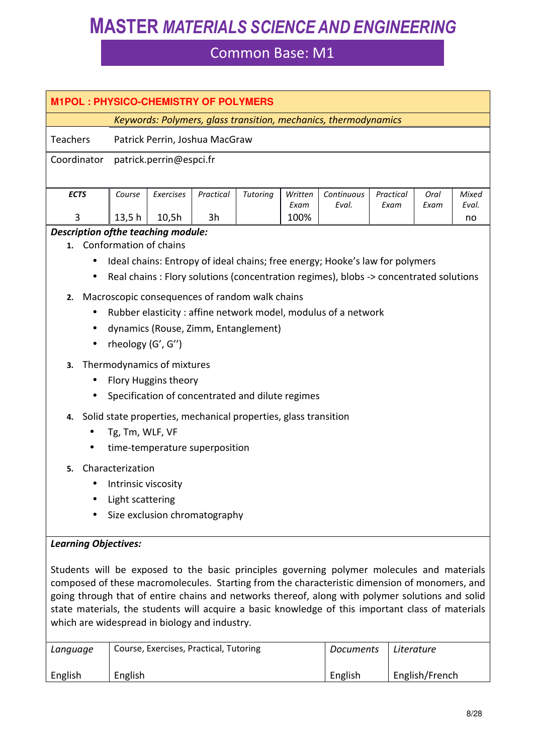## Common Base: M1

| <b>M1POL: PHYSICO-CHEMISTRY OF POLYMERS</b>                                                                               |                                                             |                                                                                                                                                       |                 |          |                 | Keywords: Polymers, glass transition, mechanics, thermodynamics                                                                                                        |                   |              |                |
|---------------------------------------------------------------------------------------------------------------------------|-------------------------------------------------------------|-------------------------------------------------------------------------------------------------------------------------------------------------------|-----------------|----------|-----------------|------------------------------------------------------------------------------------------------------------------------------------------------------------------------|-------------------|--------------|----------------|
| <b>Teachers</b>                                                                                                           |                                                             | Patrick Perrin, Joshua MacGraw                                                                                                                        |                 |          |                 |                                                                                                                                                                        |                   |              |                |
| Coordinator                                                                                                               |                                                             | patrick.perrin@espci.fr                                                                                                                               |                 |          |                 |                                                                                                                                                                        |                   |              |                |
| <b>ECTS</b><br>3                                                                                                          | Course                                                      | Exercises                                                                                                                                             | Practical<br>3h | Tutoring | Written<br>Exam | Continuous<br>Eval.                                                                                                                                                    | Practical<br>Exam | Oral<br>Exam | Mixed<br>Eval. |
| Description of the teaching module:                                                                                       | 13,5 h                                                      | 10,5h                                                                                                                                                 |                 |          | 100%            |                                                                                                                                                                        |                   |              | no             |
| 1.<br>$\bullet$<br>$\bullet$                                                                                              |                                                             | Conformation of chains                                                                                                                                |                 |          |                 | Ideal chains: Entropy of ideal chains; free energy; Hooke's law for polymers<br>Real chains : Flory solutions (concentration regimes), blobs -> concentrated solutions |                   |              |                |
| 2.<br>$\bullet$<br>$\bullet$<br>3.<br>$\bullet$                                                                           | rheology (G', G")                                           | Macroscopic consequences of random walk chains<br>dynamics (Rouse, Zimm, Entanglement)<br>Thermodynamics of mixtures<br>Flory Huggins theory          |                 |          |                 | Rubber elasticity: affine network model, modulus of a network                                                                                                          |                   |              |                |
| $\bullet$<br>4.                                                                                                           | Tg, Tm, WLF, VF                                             | Specification of concentrated and dilute regimes<br>Solid state properties, mechanical properties, glass transition<br>time-temperature superposition |                 |          |                 |                                                                                                                                                                        |                   |              |                |
| 5.                                                                                                                        | Characterization<br>Intrinsic viscosity<br>Light scattering | Size exclusion chromatography                                                                                                                         |                 |          |                 |                                                                                                                                                                        |                   |              |                |
| <b>Learning Objectives:</b><br>Students will be exposed to the basic principles governing polymer molecules and materials |                                                             |                                                                                                                                                       |                 |          |                 |                                                                                                                                                                        |                   |              |                |

composed of these macromolecules. Starting from the characteristic dimension of monomers, and going through that of entire chains and networks thereof, along with polymer solutions and solid state materials, the students will acquire a basic knowledge of this important class of materials which are widespread in biology and industry.

| Language | Course, Exercises, Practical, Tutoring | Documents | Literature     |
|----------|----------------------------------------|-----------|----------------|
| English  | English                                | English   | English/French |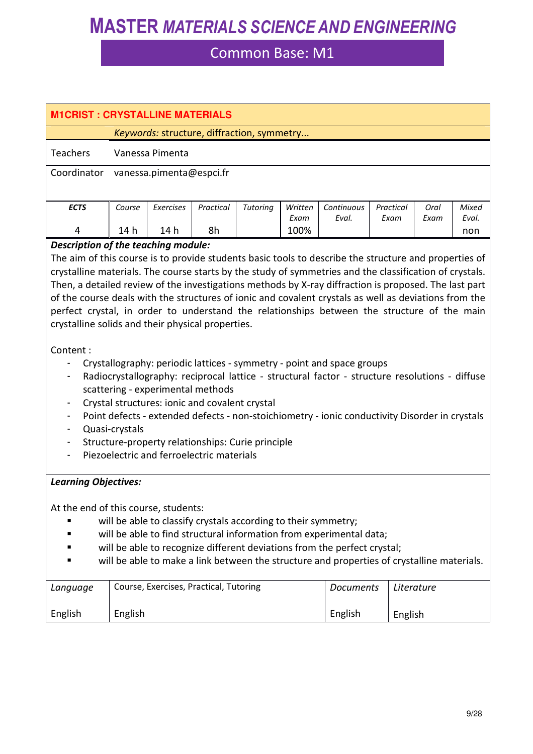| <b>M1CRIST: CRYSTALLINE MATERIALS</b>                                                                   |                |                 |                                                |                                                                |              |                                                                                                                                                 |           |            |              |  |
|---------------------------------------------------------------------------------------------------------|----------------|-----------------|------------------------------------------------|----------------------------------------------------------------|--------------|-------------------------------------------------------------------------------------------------------------------------------------------------|-----------|------------|--------------|--|
|                                                                                                         |                |                 |                                                | Keywords: structure, diffraction, symmetry                     |              |                                                                                                                                                 |           |            |              |  |
| <b>Teachers</b>                                                                                         |                | Vanessa Pimenta |                                                |                                                                |              |                                                                                                                                                 |           |            |              |  |
| Coordinator<br>vanessa.pimenta@espci.fr                                                                 |                |                 |                                                |                                                                |              |                                                                                                                                                 |           |            |              |  |
|                                                                                                         |                |                 |                                                |                                                                |              |                                                                                                                                                 |           |            |              |  |
| <b>ECTS</b>                                                                                             | Course         | Exercises       | Practical                                      | Tutoring                                                       | Written      | Continuous                                                                                                                                      | Practical | Oral       | Mixed        |  |
| 4                                                                                                       | 14 h           | 14 h            | 8h                                             |                                                                | Exam<br>100% | Eval.                                                                                                                                           | Exam      | Exam       | Eval.<br>non |  |
| Description of the teaching module:                                                                     |                |                 |                                                |                                                                |              |                                                                                                                                                 |           |            |              |  |
| The aim of this course is to provide students basic tools to describe the structure and properties of   |                |                 |                                                |                                                                |              |                                                                                                                                                 |           |            |              |  |
| crystalline materials. The course starts by the study of symmetries and the classification of crystals. |                |                 |                                                |                                                                |              |                                                                                                                                                 |           |            |              |  |
| Then, a detailed review of the investigations methods by X-ray diffraction is proposed. The last part   |                |                 |                                                |                                                                |              |                                                                                                                                                 |           |            |              |  |
| of the course deals with the structures of ionic and covalent crystals as well as deviations from the   |                |                 |                                                |                                                                |              |                                                                                                                                                 |           |            |              |  |
| perfect crystal, in order to understand the relationships between the structure of the main             |                |                 |                                                |                                                                |              |                                                                                                                                                 |           |            |              |  |
| crystalline solids and their physical properties.                                                       |                |                 |                                                |                                                                |              |                                                                                                                                                 |           |            |              |  |
| Content:                                                                                                |                |                 |                                                |                                                                |              |                                                                                                                                                 |           |            |              |  |
|                                                                                                         |                |                 |                                                |                                                                |              | Crystallography: periodic lattices - symmetry - point and space groups                                                                          |           |            |              |  |
|                                                                                                         |                |                 |                                                |                                                                |              | Radiocrystallography: reciprocal lattice - structural factor - structure resolutions - diffuse                                                  |           |            |              |  |
|                                                                                                         |                |                 | scattering - experimental methods              |                                                                |              |                                                                                                                                                 |           |            |              |  |
|                                                                                                         |                |                 | Crystal structures: ionic and covalent crystal |                                                                |              |                                                                                                                                                 |           |            |              |  |
|                                                                                                         |                |                 |                                                |                                                                |              | Point defects - extended defects - non-stoichiometry - ionic conductivity Disorder in crystals                                                  |           |            |              |  |
|                                                                                                         | Quasi-crystals |                 |                                                |                                                                |              |                                                                                                                                                 |           |            |              |  |
|                                                                                                         |                |                 |                                                | Structure-property relationships: Curie principle              |              |                                                                                                                                                 |           |            |              |  |
|                                                                                                         |                |                 | Piezoelectric and ferroelectric materials      |                                                                |              |                                                                                                                                                 |           |            |              |  |
|                                                                                                         |                |                 |                                                |                                                                |              |                                                                                                                                                 |           |            |              |  |
| <b>Learning Objectives:</b>                                                                             |                |                 |                                                |                                                                |              |                                                                                                                                                 |           |            |              |  |
|                                                                                                         |                |                 |                                                |                                                                |              |                                                                                                                                                 |           |            |              |  |
| At the end of this course, students:                                                                    |                |                 |                                                |                                                                |              |                                                                                                                                                 |           |            |              |  |
|                                                                                                         |                |                 |                                                | will be able to classify crystals according to their symmetry; |              |                                                                                                                                                 |           |            |              |  |
|                                                                                                         |                |                 |                                                |                                                                |              | will be able to find structural information from experimental data;<br>will be able to recognize different deviations from the perfect crystal; |           |            |              |  |
|                                                                                                         |                |                 |                                                |                                                                |              | will be able to make a link between the structure and properties of crystalline materials.                                                      |           |            |              |  |
|                                                                                                         |                |                 |                                                |                                                                |              |                                                                                                                                                 |           |            |              |  |
| Language                                                                                                |                |                 | Course, Exercises, Practical, Tutoring         |                                                                |              | <b>Documents</b>                                                                                                                                |           | Literature |              |  |
| English                                                                                                 | English        |                 |                                                |                                                                |              | English                                                                                                                                         |           | English    |              |  |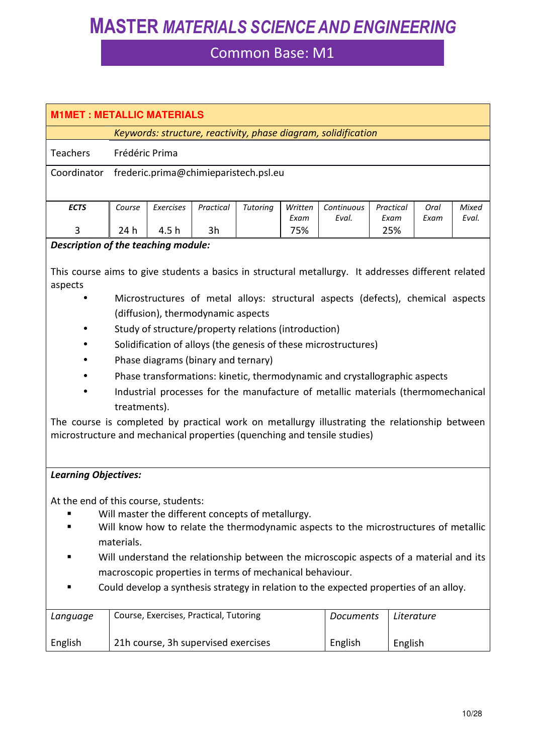| <b>M1MET: METALLIC MATERIALS</b>                                                                                                                                                                |                                       |                |                                                          |          |                 |                                                                                        |                   |              |                |  |  |
|-------------------------------------------------------------------------------------------------------------------------------------------------------------------------------------------------|---------------------------------------|----------------|----------------------------------------------------------|----------|-----------------|----------------------------------------------------------------------------------------|-------------------|--------------|----------------|--|--|
|                                                                                                                                                                                                 |                                       |                |                                                          |          |                 | Keywords: structure, reactivity, phase diagram, solidification                         |                   |              |                |  |  |
| Teachers                                                                                                                                                                                        |                                       | Frédéric Prima |                                                          |          |                 |                                                                                        |                   |              |                |  |  |
| Coordinator                                                                                                                                                                                     | frederic.prima@chimieparistech.psl.eu |                |                                                          |          |                 |                                                                                        |                   |              |                |  |  |
|                                                                                                                                                                                                 |                                       |                |                                                          |          |                 |                                                                                        |                   |              |                |  |  |
| <b>ECTS</b>                                                                                                                                                                                     | Course                                | Exercises      | Practical                                                | Tutoring | Written<br>Exam | Continuous<br>Eval.                                                                    | Practical<br>Exam | Oral<br>Exam | Mixed<br>Eval. |  |  |
| 3                                                                                                                                                                                               | 24 h                                  | 4.5 h          | 3h                                                       |          | 75%             |                                                                                        | 25%               |              |                |  |  |
| Description of the teaching module:                                                                                                                                                             |                                       |                |                                                          |          |                 |                                                                                        |                   |              |                |  |  |
| This course aims to give students a basics in structural metallurgy. It addresses different related<br>aspects                                                                                  |                                       |                |                                                          |          |                 | Microstructures of metal alloys: structural aspects (defects), chemical aspects        |                   |              |                |  |  |
|                                                                                                                                                                                                 |                                       |                | (diffusion), thermodynamic aspects                       |          |                 |                                                                                        |                   |              |                |  |  |
|                                                                                                                                                                                                 |                                       |                | Study of structure/property relations (introduction)     |          |                 |                                                                                        |                   |              |                |  |  |
|                                                                                                                                                                                                 |                                       |                |                                                          |          |                 | Solidification of alloys (the genesis of these microstructures)                        |                   |              |                |  |  |
|                                                                                                                                                                                                 |                                       |                | Phase diagrams (binary and ternary)                      |          |                 | Phase transformations: kinetic, thermodynamic and crystallographic aspects             |                   |              |                |  |  |
|                                                                                                                                                                                                 |                                       |                |                                                          |          |                 | Industrial processes for the manufacture of metallic materials (thermomechanical       |                   |              |                |  |  |
|                                                                                                                                                                                                 | treatments).                          |                |                                                          |          |                 |                                                                                        |                   |              |                |  |  |
| The course is completed by practical work on metallurgy illustrating the relationship between                                                                                                   |                                       |                |                                                          |          |                 |                                                                                        |                   |              |                |  |  |
| microstructure and mechanical properties (quenching and tensile studies)                                                                                                                        |                                       |                |                                                          |          |                 |                                                                                        |                   |              |                |  |  |
|                                                                                                                                                                                                 |                                       |                |                                                          |          |                 |                                                                                        |                   |              |                |  |  |
| <b>Learning Objectives:</b>                                                                                                                                                                     |                                       |                |                                                          |          |                 |                                                                                        |                   |              |                |  |  |
| At the end of this course, students:<br>Will master the different concepts of metallurgy.<br>Will know how to relate the thermodynamic aspects to the microstructures of metallic<br>materials. |                                       |                |                                                          |          |                 |                                                                                        |                   |              |                |  |  |
|                                                                                                                                                                                                 |                                       |                |                                                          |          |                 | Will understand the relationship between the microscopic aspects of a material and its |                   |              |                |  |  |
|                                                                                                                                                                                                 |                                       |                | macroscopic properties in terms of mechanical behaviour. |          |                 |                                                                                        |                   |              |                |  |  |
|                                                                                                                                                                                                 |                                       |                |                                                          |          |                 | Could develop a synthesis strategy in relation to the expected properties of an alloy. |                   |              |                |  |  |
| Language                                                                                                                                                                                        |                                       |                | Course, Exercises, Practical, Tutoring                   |          |                 | <b>Documents</b>                                                                       |                   | Literature   |                |  |  |
| English                                                                                                                                                                                         |                                       |                | 21h course, 3h supervised exercises                      |          |                 | English                                                                                |                   | English      |                |  |  |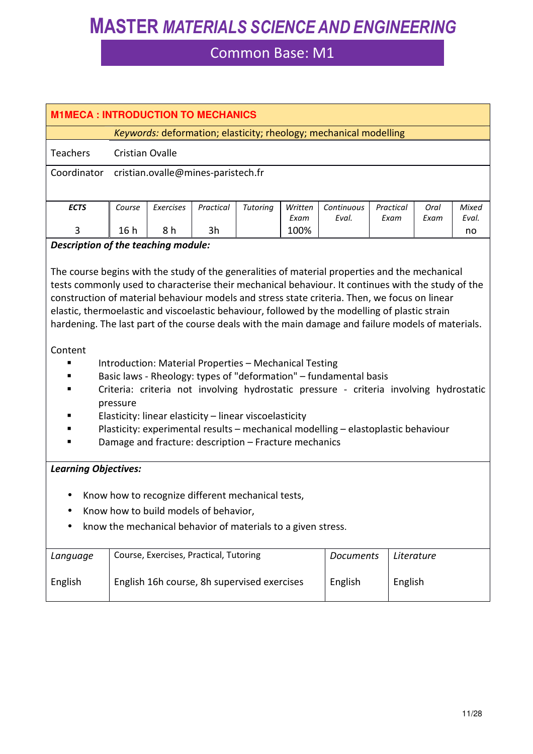| <b>M1MECA: INTRODUCTION TO MECHANICS</b>                                                                                                                                                                                                                                                                                                                                                                                                                                                                                                                                           |                        |                                                        |           |                 |                 |                                                                                                                                                             |                   |              |                |
|------------------------------------------------------------------------------------------------------------------------------------------------------------------------------------------------------------------------------------------------------------------------------------------------------------------------------------------------------------------------------------------------------------------------------------------------------------------------------------------------------------------------------------------------------------------------------------|------------------------|--------------------------------------------------------|-----------|-----------------|-----------------|-------------------------------------------------------------------------------------------------------------------------------------------------------------|-------------------|--------------|----------------|
| Keywords: deformation; elasticity; rheology; mechanical modelling                                                                                                                                                                                                                                                                                                                                                                                                                                                                                                                  |                        |                                                        |           |                 |                 |                                                                                                                                                             |                   |              |                |
| <b>Teachers</b>                                                                                                                                                                                                                                                                                                                                                                                                                                                                                                                                                                    | <b>Cristian Ovalle</b> |                                                        |           |                 |                 |                                                                                                                                                             |                   |              |                |
| Coordinator                                                                                                                                                                                                                                                                                                                                                                                                                                                                                                                                                                        |                        | cristian.ovalle@mines-paristech.fr                     |           |                 |                 |                                                                                                                                                             |                   |              |                |
|                                                                                                                                                                                                                                                                                                                                                                                                                                                                                                                                                                                    |                        |                                                        |           |                 |                 |                                                                                                                                                             |                   |              |                |
| <b>ECTS</b>                                                                                                                                                                                                                                                                                                                                                                                                                                                                                                                                                                        | Course                 | Exercises                                              | Practical | <b>Tutoring</b> | Written<br>Exam | Continuous<br>Eval.                                                                                                                                         | Practical<br>Exam | Oral<br>Exam | Mixed<br>Eval. |
| 3                                                                                                                                                                                                                                                                                                                                                                                                                                                                                                                                                                                  | 16h                    | 8h                                                     | 3h        |                 | 100%            |                                                                                                                                                             |                   |              | no             |
| Description of the teaching module:                                                                                                                                                                                                                                                                                                                                                                                                                                                                                                                                                |                        |                                                        |           |                 |                 |                                                                                                                                                             |                   |              |                |
| The course begins with the study of the generalities of material properties and the mechanical<br>tests commonly used to characterise their mechanical behaviour. It continues with the study of the<br>construction of material behaviour models and stress state criteria. Then, we focus on linear<br>elastic, thermoelastic and viscoelastic behaviour, followed by the modelling of plastic strain<br>hardening. The last part of the course deals with the main damage and failure models of materials.<br>Content<br>Introduction: Material Properties - Mechanical Testing |                        |                                                        |           |                 |                 |                                                                                                                                                             |                   |              |                |
|                                                                                                                                                                                                                                                                                                                                                                                                                                                                                                                                                                                    | pressure               |                                                        |           |                 |                 | Basic laws - Rheology: types of "deformation" - fundamental basis<br>Criteria: criteria not involving hydrostatic pressure - criteria involving hydrostatic |                   |              |                |
|                                                                                                                                                                                                                                                                                                                                                                                                                                                                                                                                                                                    |                        | Elasticity: linear elasticity - linear viscoelasticity |           |                 |                 |                                                                                                                                                             |                   |              |                |
|                                                                                                                                                                                                                                                                                                                                                                                                                                                                                                                                                                                    |                        | Damage and fracture: description - Fracture mechanics  |           |                 |                 | Plasticity: experimental results - mechanical modelling - elastoplastic behaviour                                                                           |                   |              |                |
|                                                                                                                                                                                                                                                                                                                                                                                                                                                                                                                                                                                    |                        |                                                        |           |                 |                 |                                                                                                                                                             |                   |              |                |
| <b>Learning Objectives:</b>                                                                                                                                                                                                                                                                                                                                                                                                                                                                                                                                                        |                        |                                                        |           |                 |                 |                                                                                                                                                             |                   |              |                |
|                                                                                                                                                                                                                                                                                                                                                                                                                                                                                                                                                                                    |                        | Know how to recognize different mechanical tests,      |           |                 |                 |                                                                                                                                                             |                   |              |                |
|                                                                                                                                                                                                                                                                                                                                                                                                                                                                                                                                                                                    |                        | Know how to build models of behavior,                  |           |                 |                 |                                                                                                                                                             |                   |              |                |
| know the mechanical behavior of materials to a given stress.                                                                                                                                                                                                                                                                                                                                                                                                                                                                                                                       |                        |                                                        |           |                 |                 |                                                                                                                                                             |                   |              |                |
| Language                                                                                                                                                                                                                                                                                                                                                                                                                                                                                                                                                                           |                        | Course, Exercises, Practical, Tutoring                 |           |                 |                 | <b>Documents</b>                                                                                                                                            |                   | Literature   |                |
| English                                                                                                                                                                                                                                                                                                                                                                                                                                                                                                                                                                            |                        | English 16h course, 8h supervised exercises            |           |                 |                 | English                                                                                                                                                     | English           |              |                |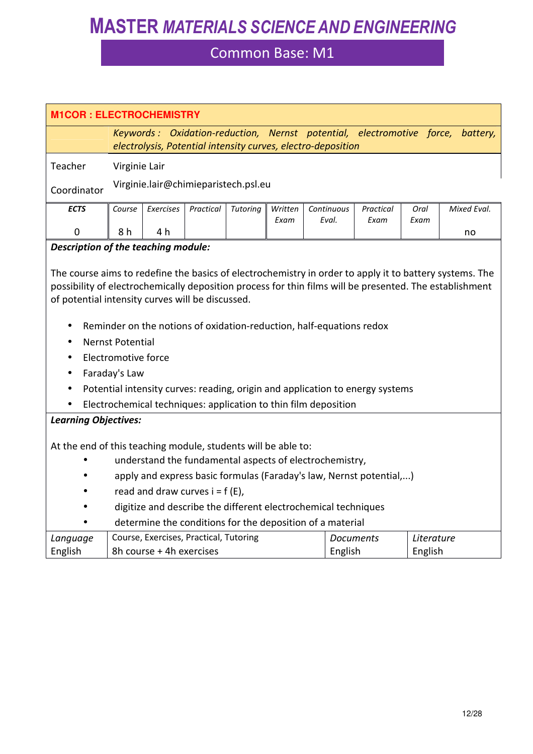|                                                                                                                                                                                                                                                                                                                                                                                                                                                                                                                                           | <b>M1COR: ELECTROCHEMISTRY</b>                                                                                                                 |                                                                    |           |          |                 |                                                                 |                   |                       |             |  |  |
|-------------------------------------------------------------------------------------------------------------------------------------------------------------------------------------------------------------------------------------------------------------------------------------------------------------------------------------------------------------------------------------------------------------------------------------------------------------------------------------------------------------------------------------------|------------------------------------------------------------------------------------------------------------------------------------------------|--------------------------------------------------------------------|-----------|----------|-----------------|-----------------------------------------------------------------|-------------------|-----------------------|-------------|--|--|
|                                                                                                                                                                                                                                                                                                                                                                                                                                                                                                                                           | Keywords: Oxidation-reduction, Nernst potential, electromotive force, battery,<br>electrolysis, Potential intensity curves, electro-deposition |                                                                    |           |          |                 |                                                                 |                   |                       |             |  |  |
| Teacher                                                                                                                                                                                                                                                                                                                                                                                                                                                                                                                                   | Virginie Lair                                                                                                                                  |                                                                    |           |          |                 |                                                                 |                   |                       |             |  |  |
| Coordinator                                                                                                                                                                                                                                                                                                                                                                                                                                                                                                                               |                                                                                                                                                | Virginie.lair@chimieparistech.psl.eu                               |           |          |                 |                                                                 |                   |                       |             |  |  |
| <b>ECTS</b>                                                                                                                                                                                                                                                                                                                                                                                                                                                                                                                               | Course                                                                                                                                         | Exercises                                                          | Practical | Tutoring | Written<br>Exam | Continuous<br>Eval.                                             | Practical<br>Exam | Oral<br>Exam          | Mixed Eval. |  |  |
| $\mathbf 0$                                                                                                                                                                                                                                                                                                                                                                                                                                                                                                                               | 8 h                                                                                                                                            | 4 h                                                                |           |          |                 |                                                                 |                   |                       | no          |  |  |
| Description of the teaching module:                                                                                                                                                                                                                                                                                                                                                                                                                                                                                                       |                                                                                                                                                |                                                                    |           |          |                 |                                                                 |                   |                       |             |  |  |
| The course aims to redefine the basics of electrochemistry in order to apply it to battery systems. The<br>possibility of electrochemically deposition process for thin films will be presented. The establishment<br>of potential intensity curves will be discussed.<br>Reminder on the notions of oxidation-reduction, half-equations redox<br><b>Nernst Potential</b><br>$\bullet$<br>Electromotive force<br>Faraday's Law<br>$\bullet$<br>Potential intensity curves: reading, origin and application to energy systems<br>$\bullet$ |                                                                                                                                                |                                                                    |           |          |                 |                                                                 |                   |                       |             |  |  |
|                                                                                                                                                                                                                                                                                                                                                                                                                                                                                                                                           |                                                                                                                                                |                                                                    |           |          |                 | Electrochemical techniques: application to thin film deposition |                   |                       |             |  |  |
| <b>Learning Objectives:</b><br>At the end of this teaching module, students will be able to:<br>understand the fundamental aspects of electrochemistry,<br>apply and express basic formulas (Faraday's law, Nernst potential,)<br>read and draw curves $i = f(E)$ ,<br>digitize and describe the different electrochemical techniques<br>determine the conditions for the deposition of a material                                                                                                                                        |                                                                                                                                                |                                                                    |           |          |                 |                                                                 |                   |                       |             |  |  |
| Language<br>English                                                                                                                                                                                                                                                                                                                                                                                                                                                                                                                       |                                                                                                                                                | Course, Exercises, Practical, Tutoring<br>8h course + 4h exercises |           |          |                 | English                                                         | <b>Documents</b>  | Literature<br>English |             |  |  |
|                                                                                                                                                                                                                                                                                                                                                                                                                                                                                                                                           |                                                                                                                                                |                                                                    |           |          |                 |                                                                 |                   |                       |             |  |  |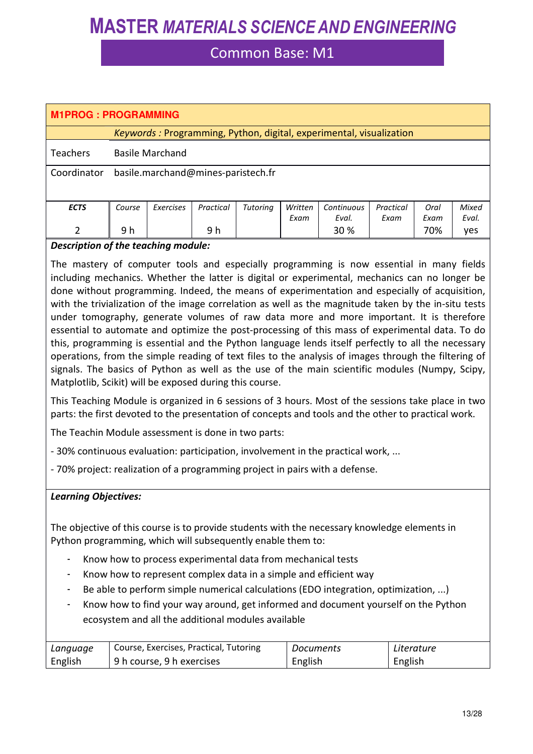### Common Base: M1

| <b>M1PROG: PROGRAMMING</b> |                                    |                                                                     |           |          |         |            |           |      |       |  |  |
|----------------------------|------------------------------------|---------------------------------------------------------------------|-----------|----------|---------|------------|-----------|------|-------|--|--|
|                            |                                    | Keywords: Programming, Python, digital, experimental, visualization |           |          |         |            |           |      |       |  |  |
| <b>Teachers</b>            | <b>Basile Marchand</b>             |                                                                     |           |          |         |            |           |      |       |  |  |
| Coordinator                | basile.marchand@mines-paristech.fr |                                                                     |           |          |         |            |           |      |       |  |  |
|                            |                                    |                                                                     |           |          |         |            |           |      |       |  |  |
| <b>ECTS</b>                | Course                             | Exercises                                                           | Practical | Tutoring | Written | Continuous | Practical | Oral | Mixed |  |  |
|                            |                                    |                                                                     |           |          | Exam    | Eval.      | Exam      | Exam | Eval. |  |  |
| $\mathcal{P}$              | 9 h                                |                                                                     | 9 h       |          |         | 30 %       |           | 70%  | yes   |  |  |

#### *Description of the teaching module:*

The mastery of computer tools and especially programming is now essential in many fields including mechanics. Whether the latter is digital or experimental, mechanics can no longer be done without programming. Indeed, the means of experimentation and especially of acquisition, with the trivialization of the image correlation as well as the magnitude taken by the in-situ tests under tomography, generate volumes of raw data more and more important. It is therefore essential to automate and optimize the post-processing of this mass of experimental data. To do this, programming is essential and the Python language lends itself perfectly to all the necessary operations, from the simple reading of text files to the analysis of images through the filtering of signals. The basics of Python as well as the use of the main scientific modules (Numpy, Scipy, Matplotlib, Scikit) will be exposed during this course.

This Teaching Module is organized in 6 sessions of 3 hours. Most of the sessions take place in two parts: the first devoted to the presentation of concepts and tools and the other to practical work.

The Teachin Module assessment is done in two parts:

- 30% continuous evaluation: participation, involvement in the practical work, ...

- 70% project: realization of a programming project in pairs with a defense.

#### *Learning Objectives:*

The objective of this course is to provide students with the necessary knowledge elements in Python programming, which will subsequently enable them to:

- Know how to process experimental data from mechanical tests
- Know how to represent complex data in a simple and efficient way
- Be able to perform simple numerical calculations (EDO integration, optimization, ...)
- Know how to find your way around, get informed and document yourself on the Python ecosystem and all the additional modules available

| Language | Course, Exercises, Practical, Tutoring | Documents | Literature |
|----------|----------------------------------------|-----------|------------|
| English  | 9 h course, 9 h exercises              | English   | English    |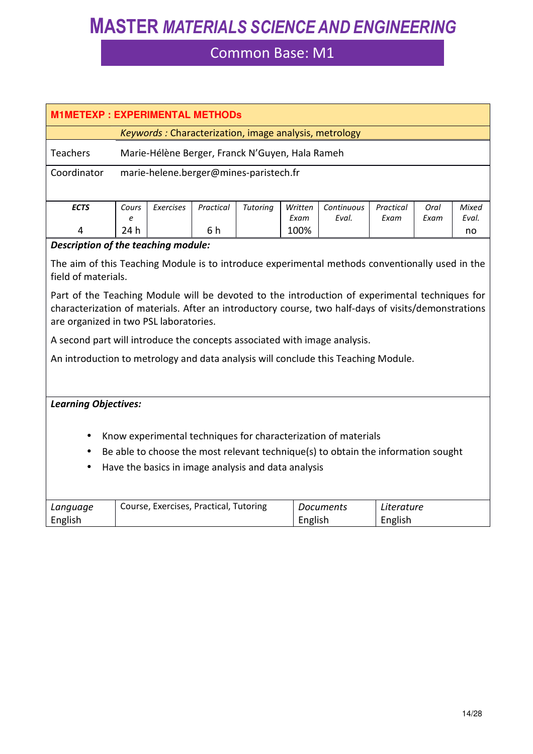| <b>M1METEXP: EXPERIMENTAL METHODS</b>                                                                                                                                                                                                           |                                                         |           |                                            |                                        |                                                |                                                                                             |                                                                                                                                                                |                                                                                                                                                                                                                                                                                                  |  |  |
|-------------------------------------------------------------------------------------------------------------------------------------------------------------------------------------------------------------------------------------------------|---------------------------------------------------------|-----------|--------------------------------------------|----------------------------------------|------------------------------------------------|---------------------------------------------------------------------------------------------|----------------------------------------------------------------------------------------------------------------------------------------------------------------|--------------------------------------------------------------------------------------------------------------------------------------------------------------------------------------------------------------------------------------------------------------------------------------------------|--|--|
| Keywords: Characterization, image analysis, metrology                                                                                                                                                                                           |                                                         |           |                                            |                                        |                                                |                                                                                             |                                                                                                                                                                |                                                                                                                                                                                                                                                                                                  |  |  |
| Teachers<br>Marie-Hélène Berger, Franck N'Guyen, Hala Rameh                                                                                                                                                                                     |                                                         |           |                                            |                                        |                                                |                                                                                             |                                                                                                                                                                |                                                                                                                                                                                                                                                                                                  |  |  |
|                                                                                                                                                                                                                                                 |                                                         |           |                                            |                                        |                                                |                                                                                             |                                                                                                                                                                |                                                                                                                                                                                                                                                                                                  |  |  |
|                                                                                                                                                                                                                                                 |                                                         |           |                                            |                                        |                                                |                                                                                             |                                                                                                                                                                |                                                                                                                                                                                                                                                                                                  |  |  |
| Cours                                                                                                                                                                                                                                           | Exercises                                               | Practical | Tutoring                                   | Written                                | Continuous                                     | Practical                                                                                   | Oral                                                                                                                                                           | <b>Mixed</b>                                                                                                                                                                                                                                                                                     |  |  |
| 24 h                                                                                                                                                                                                                                            |                                                         |           |                                            | 100%                                   |                                                |                                                                                             |                                                                                                                                                                | Eval.<br>no                                                                                                                                                                                                                                                                                      |  |  |
|                                                                                                                                                                                                                                                 |                                                         |           |                                            |                                        |                                                |                                                                                             |                                                                                                                                                                |                                                                                                                                                                                                                                                                                                  |  |  |
|                                                                                                                                                                                                                                                 |                                                         |           |                                            |                                        |                                                |                                                                                             |                                                                                                                                                                |                                                                                                                                                                                                                                                                                                  |  |  |
| Part of the Teaching Module will be devoted to the introduction of experimental techniques for<br>characterization of materials. After an introductory course, two half-days of visits/demonstrations<br>are organized in two PSL laboratories. |                                                         |           |                                            |                                        |                                                |                                                                                             |                                                                                                                                                                |                                                                                                                                                                                                                                                                                                  |  |  |
|                                                                                                                                                                                                                                                 |                                                         |           |                                            |                                        |                                                |                                                                                             |                                                                                                                                                                |                                                                                                                                                                                                                                                                                                  |  |  |
|                                                                                                                                                                                                                                                 |                                                         |           |                                            |                                        |                                                |                                                                                             |                                                                                                                                                                |                                                                                                                                                                                                                                                                                                  |  |  |
|                                                                                                                                                                                                                                                 |                                                         |           |                                            |                                        |                                                |                                                                                             |                                                                                                                                                                |                                                                                                                                                                                                                                                                                                  |  |  |
|                                                                                                                                                                                                                                                 |                                                         |           |                                            |                                        |                                                |                                                                                             |                                                                                                                                                                |                                                                                                                                                                                                                                                                                                  |  |  |
|                                                                                                                                                                                                                                                 |                                                         |           |                                            |                                        |                                                |                                                                                             |                                                                                                                                                                |                                                                                                                                                                                                                                                                                                  |  |  |
|                                                                                                                                                                                                                                                 |                                                         |           |                                            |                                        |                                                |                                                                                             |                                                                                                                                                                |                                                                                                                                                                                                                                                                                                  |  |  |
|                                                                                                                                                                                                                                                 |                                                         |           |                                            |                                        |                                                |                                                                                             |                                                                                                                                                                |                                                                                                                                                                                                                                                                                                  |  |  |
|                                                                                                                                                                                                                                                 |                                                         |           |                                            |                                        |                                                |                                                                                             |                                                                                                                                                                |                                                                                                                                                                                                                                                                                                  |  |  |
|                                                                                                                                                                                                                                                 |                                                         |           |                                            |                                        |                                                |                                                                                             |                                                                                                                                                                |                                                                                                                                                                                                                                                                                                  |  |  |
|                                                                                                                                                                                                                                                 |                                                         |           |                                            |                                        |                                                |                                                                                             |                                                                                                                                                                |                                                                                                                                                                                                                                                                                                  |  |  |
|                                                                                                                                                                                                                                                 |                                                         |           |                                            |                                        |                                                |                                                                                             |                                                                                                                                                                |                                                                                                                                                                                                                                                                                                  |  |  |
|                                                                                                                                                                                                                                                 | e<br>field of materials.<br><b>Learning Objectives:</b> |           | 6 h<br>Description of the teaching module: | Course, Exercises, Practical, Tutoring | marie-helene.berger@mines-paristech.fr<br>Exam | Eval.<br>Have the basics in image analysis and data analysis<br><b>Documents</b><br>English | Exam<br>A second part will introduce the concepts associated with image analysis.<br>Know experimental techniques for characterization of materials<br>English | Exam<br>The aim of this Teaching Module is to introduce experimental methods conventionally used in the<br>An introduction to metrology and data analysis will conclude this Teaching Module.<br>Be able to choose the most relevant technique(s) to obtain the information sought<br>Literature |  |  |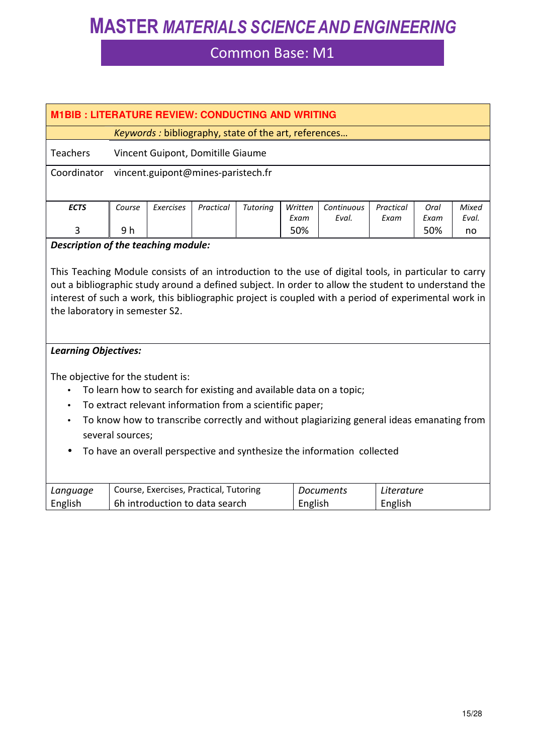| <b>M1BIB: LITERATURE REVIEW: CONDUCTING AND WRITING</b>                 |                                                                                                                                                                                                                                                                                                                                                       |           |                                        |                                                          |                 |                                                                    |                   |              |                |
|-------------------------------------------------------------------------|-------------------------------------------------------------------------------------------------------------------------------------------------------------------------------------------------------------------------------------------------------------------------------------------------------------------------------------------------------|-----------|----------------------------------------|----------------------------------------------------------|-----------------|--------------------------------------------------------------------|-------------------|--------------|----------------|
|                                                                         |                                                                                                                                                                                                                                                                                                                                                       |           |                                        |                                                          |                 |                                                                    |                   |              |                |
|                                                                         | Keywords : bibliography, state of the art, references                                                                                                                                                                                                                                                                                                 |           |                                        |                                                          |                 |                                                                    |                   |              |                |
| <b>Teachers</b>                                                         |                                                                                                                                                                                                                                                                                                                                                       |           | Vincent Guipont, Domitille Giaume      |                                                          |                 |                                                                    |                   |              |                |
| Coordinator                                                             |                                                                                                                                                                                                                                                                                                                                                       |           | vincent.guipont@mines-paristech.fr     |                                                          |                 |                                                                    |                   |              |                |
|                                                                         |                                                                                                                                                                                                                                                                                                                                                       |           |                                        |                                                          |                 |                                                                    |                   |              |                |
| <b>ECTS</b>                                                             | Course                                                                                                                                                                                                                                                                                                                                                | Exercises | Practical                              | Tutoring                                                 | Written<br>Exam | Continuous<br>Eval.                                                | Practical<br>Exam | Oral<br>Exam | Mixed<br>Eval. |
| 3                                                                       | 9 h                                                                                                                                                                                                                                                                                                                                                   |           |                                        |                                                          | 50%             |                                                                    |                   | 50%          | no             |
| Description of the teaching module:                                     |                                                                                                                                                                                                                                                                                                                                                       |           |                                        |                                                          |                 |                                                                    |                   |              |                |
|                                                                         | This Teaching Module consists of an introduction to the use of digital tools, in particular to carry<br>out a bibliographic study around a defined subject. In order to allow the student to understand the<br>interest of such a work, this bibliographic project is coupled with a period of experimental work in<br>the laboratory in semester S2. |           |                                        |                                                          |                 |                                                                    |                   |              |                |
| <b>Learning Objectives:</b><br>The objective for the student is:        |                                                                                                                                                                                                                                                                                                                                                       |           |                                        |                                                          |                 |                                                                    |                   |              |                |
|                                                                         |                                                                                                                                                                                                                                                                                                                                                       |           |                                        |                                                          |                 | To learn how to search for existing and available data on a topic; |                   |              |                |
|                                                                         |                                                                                                                                                                                                                                                                                                                                                       |           |                                        | To extract relevant information from a scientific paper; |                 |                                                                    |                   |              |                |
|                                                                         | To know how to transcribe correctly and without plagiarizing general ideas emanating from<br>$\bullet$<br>several sources;                                                                                                                                                                                                                            |           |                                        |                                                          |                 |                                                                    |                   |              |                |
| To have an overall perspective and synthesize the information collected |                                                                                                                                                                                                                                                                                                                                                       |           |                                        |                                                          |                 |                                                                    |                   |              |                |
|                                                                         |                                                                                                                                                                                                                                                                                                                                                       |           |                                        |                                                          |                 |                                                                    |                   |              |                |
| Language                                                                |                                                                                                                                                                                                                                                                                                                                                       |           | Course, Exercises, Practical, Tutoring |                                                          |                 | <b>Documents</b>                                                   | Literature        |              |                |
| English                                                                 |                                                                                                                                                                                                                                                                                                                                                       |           | 6h introduction to data search         |                                                          | English         |                                                                    | English           |              |                |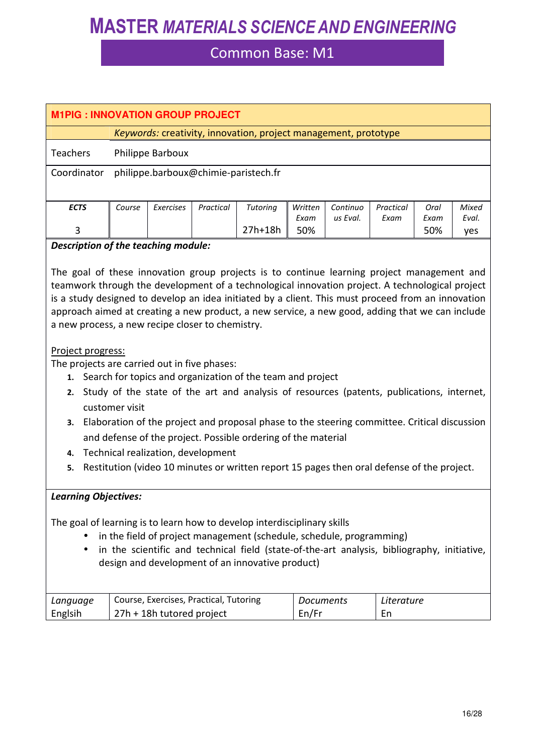### Common Base: M1

| <b>M1PIG: INNOVATION GROUP PROJECT</b> |                                                                 |                  |           |          |         |          |           |      |       |
|----------------------------------------|-----------------------------------------------------------------|------------------|-----------|----------|---------|----------|-----------|------|-------|
|                                        | Keywords: creativity, innovation, project management, prototype |                  |           |          |         |          |           |      |       |
| <b>Teachers</b>                        |                                                                 | Philippe Barboux |           |          |         |          |           |      |       |
| Coordinator                            | philippe.barboux@chimie-paristech.fr                            |                  |           |          |         |          |           |      |       |
|                                        |                                                                 |                  |           |          |         |          |           |      |       |
| <b>ECTS</b>                            | Course                                                          | Exercises        | Practical | Tutoring | Written | Continuo | Practical | Oral | Mixed |
|                                        |                                                                 |                  |           |          | Exam    | us Eval. | Exam      | Exam | Eval. |
| 3                                      |                                                                 |                  |           | 27h+18h  | 50%     |          |           | 50%  | yes   |
| Description of the teaching module:    |                                                                 |                  |           |          |         |          |           |      |       |

The goal of these innovation group projects is to continue learning project management and teamwork through the development of a technological innovation project. A technological project is a study designed to develop an idea initiated by a client. This must proceed from an innovation approach aimed at creating a new product, a new service, a new good, adding that we can include a new process, a new recipe closer to chemistry.

#### Project progress:

The projects are carried out in five phases:

- **1.** Search for topics and organization of the team and project
- **2.** Study of the state of the art and analysis of resources (patents, publications, internet, customer visit
- **3.** Elaboration of the project and proposal phase to the steering committee. Critical discussion and defense of the project. Possible ordering of the material
- **4.** Technical realization, development
- **5.** Restitution (video 10 minutes or written report 15 pages then oral defense of the project.

### *Learning Objectives:*

The goal of learning is to learn how to develop interdisciplinary skills

- in the field of project management (schedule, schedule, programming)
- in the scientific and technical field (state-of-the-art analysis, bibliography, initiative, design and development of an innovative product)

| Language | Course, Exercises, Practical, Tutoring | <i>Documents</i> | Literature |
|----------|----------------------------------------|------------------|------------|
| Englsih  | 27h + 18h tutored project              | En/Fr            | ъn         |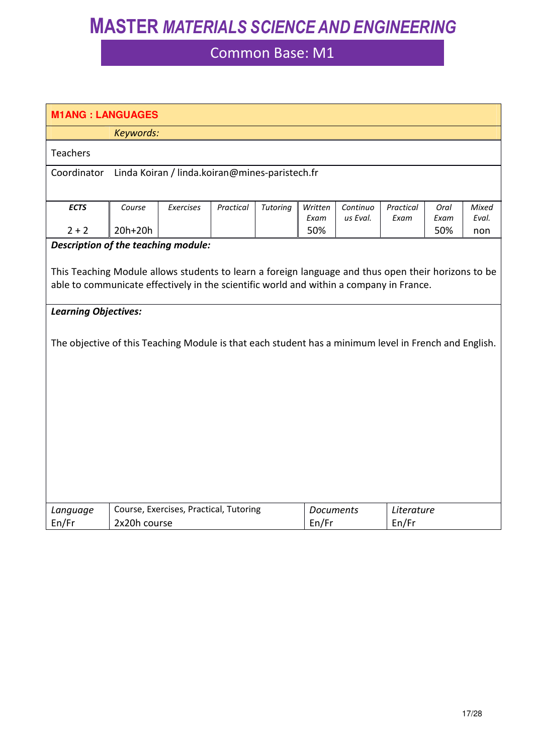| <b>M1ANG: LANGUAGES</b>                                                                               |                                                                                                                                                                                                |                                                |           |          |                           |                      |                     |              |                |
|-------------------------------------------------------------------------------------------------------|------------------------------------------------------------------------------------------------------------------------------------------------------------------------------------------------|------------------------------------------------|-----------|----------|---------------------------|----------------------|---------------------|--------------|----------------|
|                                                                                                       | Keywords:                                                                                                                                                                                      |                                                |           |          |                           |                      |                     |              |                |
| <b>Teachers</b>                                                                                       |                                                                                                                                                                                                |                                                |           |          |                           |                      |                     |              |                |
| Coordinator                                                                                           |                                                                                                                                                                                                | Linda Koiran / linda.koiran@mines-paristech.fr |           |          |                           |                      |                     |              |                |
|                                                                                                       |                                                                                                                                                                                                |                                                |           |          |                           |                      |                     |              |                |
| <b>ECTS</b>                                                                                           | Course                                                                                                                                                                                         | Exercises                                      | Practical | Tutoring | Written<br>Exam           | Continuo<br>us Eval. | Practical<br>Exam   | Oral<br>Exam | Mixed<br>Eval. |
| $2 + 2$                                                                                               | 20h+20h                                                                                                                                                                                        |                                                |           |          | 50%                       |                      |                     | 50%          | non            |
| Description of the teaching module:                                                                   |                                                                                                                                                                                                |                                                |           |          |                           |                      |                     |              |                |
|                                                                                                       | This Teaching Module allows students to learn a foreign language and thus open their horizons to be<br>able to communicate effectively in the scientific world and within a company in France. |                                                |           |          |                           |                      |                     |              |                |
| <b>Learning Objectives:</b>                                                                           |                                                                                                                                                                                                |                                                |           |          |                           |                      |                     |              |                |
| The objective of this Teaching Module is that each student has a minimum level in French and English. |                                                                                                                                                                                                |                                                |           |          |                           |                      |                     |              |                |
| Language<br>En/Fr                                                                                     | 2x20h course                                                                                                                                                                                   | Course, Exercises, Practical, Tutoring         |           |          | <b>Documents</b><br>En/Fr |                      | Literature<br>En/Fr |              |                |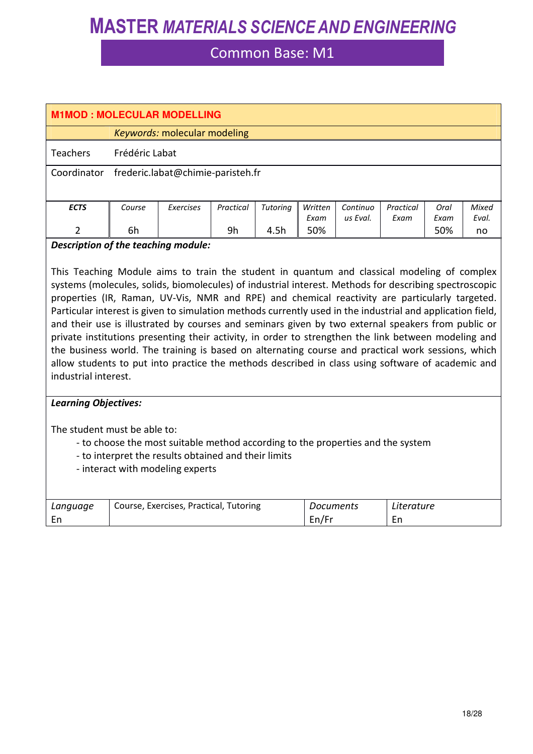### Common Base: M1

| <b>M1MOD: MOLECULAR MODELLING</b> |                                   |                              |           |          |         |          |           |      |       |
|-----------------------------------|-----------------------------------|------------------------------|-----------|----------|---------|----------|-----------|------|-------|
|                                   |                                   | Keywords: molecular modeling |           |          |         |          |           |      |       |
| Frédéric Labat<br><b>Teachers</b> |                                   |                              |           |          |         |          |           |      |       |
| Coordinator                       | frederic.labat@chimie-paristeh.fr |                              |           |          |         |          |           |      |       |
| <b>ECTS</b>                       | Course                            | Exercises                    | Practical | Tutoring | Written | Continuo | Practical | Oral | Mixed |
|                                   |                                   |                              |           |          | Exam    | us Eval. | Exam      | Exam | Eval. |
| $\mathfrak{p}$                    | 6h                                |                              | 9h        | 4.5h     | 50%     |          |           | 50%  | no    |

#### *Description of the teaching module:*

This Teaching Module aims to train the student in quantum and classical modeling of complex systems (molecules, solids, biomolecules) of industrial interest. Methods for describing spectroscopic properties (IR, Raman, UV-Vis, NMR and RPE) and chemical reactivity are particularly targeted. Particular interest is given to simulation methods currently used in the industrial and application field, and their use is illustrated by courses and seminars given by two external speakers from public or private institutions presenting their activity, in order to strengthen the link between modeling and the business world. The training is based on alternating course and practical work sessions, which allow students to put into practice the methods described in class using software of academic and industrial interest.

#### *Learning Objectives:*

The student must be able to:

- to choose the most suitable method according to the properties and the system
- to interpret the results obtained and their limits
- interact with modeling experts

| Language | Course, Exercises, Practical, Tutoring | Documents | Literature |
|----------|----------------------------------------|-----------|------------|
|          |                                        | En/Fr     |            |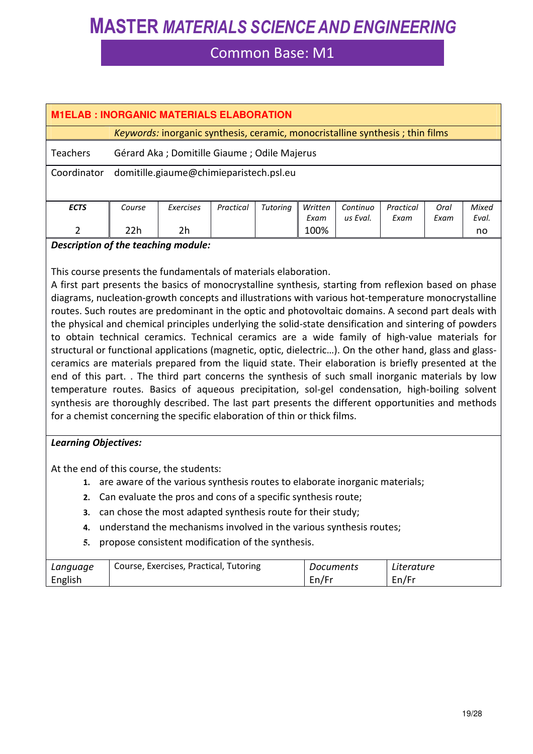### Common Base: M1

| <b>M1ELAB: INORGANIC MATERIALS ELABORATION</b>                   |                                         |                                                                               |           |          |         |          |           |      |       |
|------------------------------------------------------------------|-----------------------------------------|-------------------------------------------------------------------------------|-----------|----------|---------|----------|-----------|------|-------|
|                                                                  |                                         | Keywords: inorganic synthesis, ceramic, monocristalline synthesis; thin films |           |          |         |          |           |      |       |
| <b>Teachers</b><br>Gérard Aka ; Domitille Giaume ; Odile Majerus |                                         |                                                                               |           |          |         |          |           |      |       |
| Coordinator                                                      | domitille.giaume@chimieparistech.psl.eu |                                                                               |           |          |         |          |           |      |       |
| <b>ECTS</b>                                                      | Course                                  | Exercises                                                                     | Practical | Tutoring | Written | Continuo | Practical | Oral | Mixed |
|                                                                  |                                         |                                                                               |           |          | Exam    | us Eval. | Exam      | Exam | Eval. |
| $\mathcal{P}$                                                    | 22h                                     | 2h                                                                            |           |          | 100%    |          |           |      | no    |

#### *Description of the teaching module:*

This course presents the fundamentals of materials elaboration.

A first part presents the basics of monocrystalline synthesis, starting from reflexion based on phase diagrams, nucleation-growth concepts and illustrations with various hot-temperature monocrystalline routes. Such routes are predominant in the optic and photovoltaic domains. A second part deals with the physical and chemical principles underlying the solid-state densification and sintering of powders to obtain technical ceramics. Technical ceramics are a wide family of high-value materials for structural or functional applications (magnetic, optic, dielectric…). On the other hand, glass and glassceramics are materials prepared from the liquid state. Their elaboration is briefly presented at the end of this part. . The third part concerns the synthesis of such small inorganic materials by low temperature routes. Basics of aqueous precipitation, sol-gel condensation, high-boiling solvent synthesis are thoroughly described. The last part presents the different opportunities and methods for a chemist concerning the specific elaboration of thin or thick films.

#### *Learning Objectives:*

At the end of this course, the students:

- **1.** are aware of the various synthesis routes to elaborate inorganic materials;
- **2.** Can evaluate the pros and cons of a specific synthesis route;
- **3.** can chose the most adapted synthesis route for their study;
- **4.** understand the mechanisms involved in the various synthesis routes;
- **5.** propose consistent modification of the synthesis.

| Language | Course, Exercises, Practical, Tutoring | Documents | Literature |
|----------|----------------------------------------|-----------|------------|
| English  |                                        | En/Fr     | En/Fr      |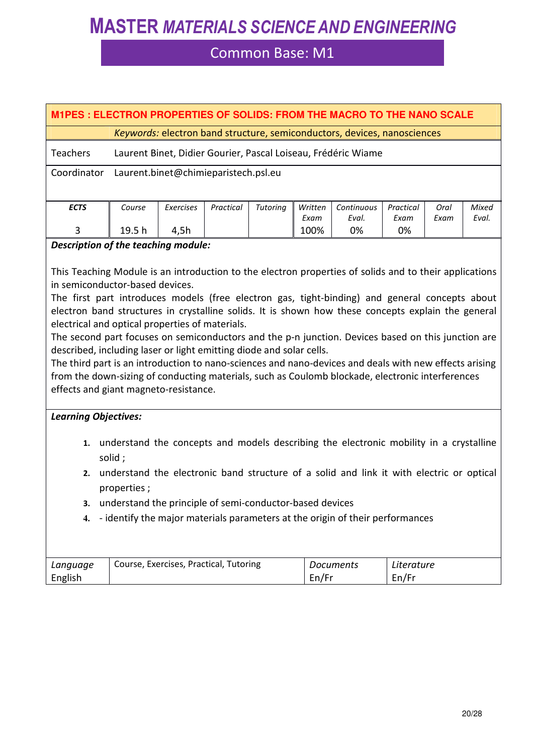### Common Base: M1

| M1PES : ELECTRON PROPERTIES OF SOLIDS: FROM THE MACRO TO THE NANO SCALE          |                                                                          |           |           |          |         |            |           |      |       |
|----------------------------------------------------------------------------------|--------------------------------------------------------------------------|-----------|-----------|----------|---------|------------|-----------|------|-------|
|                                                                                  | Keywords: electron band structure, semiconductors, devices, nanosciences |           |           |          |         |            |           |      |       |
| <b>Teachers</b><br>Laurent Binet, Didier Gourier, Pascal Loiseau, Frédéric Wiame |                                                                          |           |           |          |         |            |           |      |       |
| Coordinator                                                                      | Laurent.binet@chimieparistech.psl.eu                                     |           |           |          |         |            |           |      |       |
|                                                                                  |                                                                          |           |           |          |         |            |           |      |       |
| <b>ECTS</b>                                                                      | Course                                                                   | Exercises | Practical | Tutoring | Written | Continuous | Practical | Oral | Mixed |
|                                                                                  |                                                                          |           |           |          | Exam    | Eval.      | Exam      | Exam | Eval. |
| 3                                                                                | 19.5 <sub>h</sub>                                                        | 4,5h      |           |          | 100%    | 0%         | 0%        |      |       |
|                                                                                  |                                                                          |           |           |          |         |            |           |      |       |

#### *Description of the teaching module:*

This Teaching Module is an introduction to the electron properties of solids and to their applications in semiconductor-based devices.

The first part introduces models (free electron gas, tight-binding) and general concepts about electron band structures in crystalline solids. It is shown how these concepts explain the general electrical and optical properties of materials.

The second part focuses on semiconductors and the p-n junction. Devices based on this junction are described, including laser or light emitting diode and solar cells.

The third part is an introduction to nano-sciences and nano-devices and deals with new effects arising from the down-sizing of conducting materials, such as Coulomb blockade, electronic interferences effects and giant magneto-resistance.

#### *Learning Objectives:*

- **1.** understand the concepts and models describing the electronic mobility in a crystalline solid ;
- **2.** understand the electronic band structure of a solid and link it with electric or optical properties ;
- **3.** understand the principle of semi-conductor-based devices
- **4.** identify the major materials parameters at the origin of their performances

| Language | Course, Exercises, Practical, Tutoring | Documents | Literature |
|----------|----------------------------------------|-----------|------------|
| English  |                                        | En/Fr     | en/Fr      |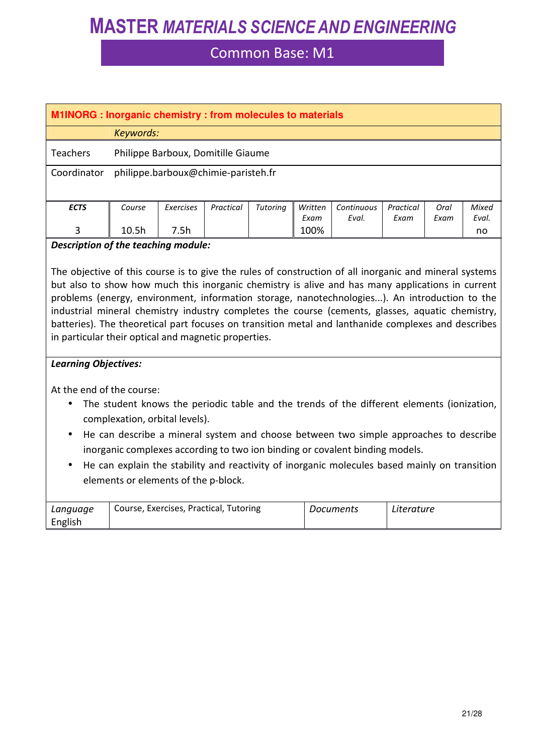### Common Base: M1

| <b>M1INORG</b> : Inorganic chemistry : from molecules to materials |                                     |           |           |          |         |            |           |      |       |
|--------------------------------------------------------------------|-------------------------------------|-----------|-----------|----------|---------|------------|-----------|------|-------|
|                                                                    | Keywords:                           |           |           |          |         |            |           |      |       |
| <b>Teachers</b><br>Philippe Barboux, Domitille Giaume              |                                     |           |           |          |         |            |           |      |       |
| Coordinator                                                        | philippe.barboux@chimie-paristeh.fr |           |           |          |         |            |           |      |       |
| <b>ECTS</b>                                                        | Course                              | Exercises | Practical | Tutoring | Written | Continuous | Practical | Oral | Mixed |
|                                                                    |                                     |           |           |          | Exam    | Eval.      | Exam      | Exam | Eval. |
| 3                                                                  | 10.5 <sub>h</sub>                   | 7.5h      |           |          | 100%    |            |           |      | no    |

#### *Description of the teaching module:*

The objective of this course is to give the rules of construction of all inorganic and mineral systems but also to show how much this inorganic chemistry is alive and has many applications in current problems (energy, environment, information storage, nanotechnologies...). An introduction to the industrial mineral chemistry industry completes the course (cements, glasses, aquatic chemistry, batteries). The theoretical part focuses on transition metal and lanthanide complexes and describes in particular their optical and magnetic properties.

#### *Learning Objectives:*

At the end of the course:

- The student knows the periodic table and the trends of the different elements (ionization, complexation, orbital levels).
- He can describe a mineral system and choose between two simple approaches to describe inorganic complexes according to two ion binding or covalent binding models.
- He can explain the stability and reactivity of inorganic molecules based mainly on transition elements or elements of the p-block.

| Language | <sup>1</sup> Course, Exercises, Practical, Tutoring | Documents | Literature |
|----------|-----------------------------------------------------|-----------|------------|
| English  |                                                     |           |            |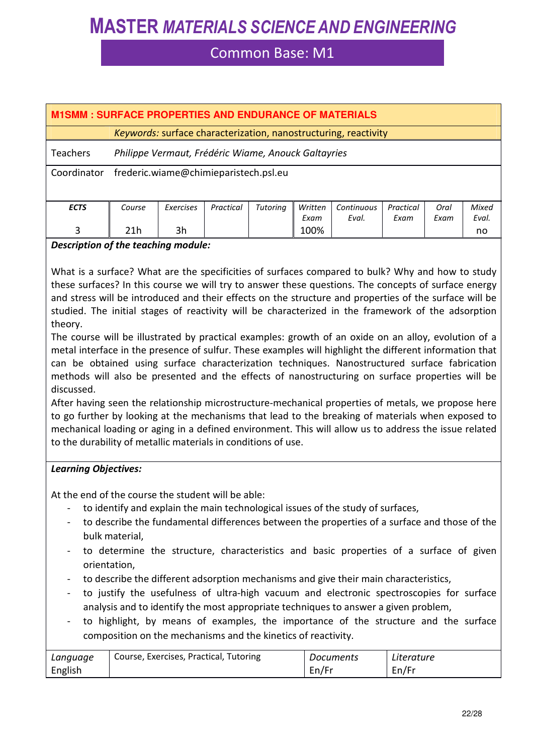### Common Base: M1

| <b>M1SMM: SURFACE PROPERTIES AND ENDURANCE OF MATERIALS</b> |                                                                 |           |           |          |         |            |           |      |       |  |
|-------------------------------------------------------------|-----------------------------------------------------------------|-----------|-----------|----------|---------|------------|-----------|------|-------|--|
|                                                             | Keywords: surface characterization, nanostructuring, reactivity |           |           |          |         |            |           |      |       |  |
| <b>Teachers</b>                                             | Philippe Vermaut, Frédéric Wiame, Anouck Galtayries             |           |           |          |         |            |           |      |       |  |
| Coordinator                                                 | frederic.wiame@chimieparistech.psl.eu                           |           |           |          |         |            |           |      |       |  |
| <b>ECTS</b>                                                 | Course                                                          | Exercises | Practical | Tutoring | Written | Continuous | Practical | Oral | Mixed |  |
|                                                             |                                                                 |           |           |          | Exam    | Eval.      | Fxam      | Exam | Eval. |  |
| 3                                                           | 21h                                                             | 3h        |           |          | 100%    |            |           |      | no    |  |

#### *Description of the teaching module:*

What is a surface? What are the specificities of surfaces compared to bulk? Why and how to study these surfaces? In this course we will try to answer these questions. The concepts of surface energy and stress will be introduced and their effects on the structure and properties of the surface will be studied. The initial stages of reactivity will be characterized in the framework of the adsorption theory.

The course will be illustrated by practical examples: growth of an oxide on an alloy, evolution of a metal interface in the presence of sulfur. These examples will highlight the different information that can be obtained using surface characterization techniques. Nanostructured surface fabrication methods will also be presented and the effects of nanostructuring on surface properties will be discussed.

After having seen the relationship microstructure-mechanical properties of metals, we propose here to go further by looking at the mechanisms that lead to the breaking of materials when exposed to mechanical loading or aging in a defined environment. This will allow us to address the issue related to the durability of metallic materials in conditions of use.

#### *Learning Objectives:*

At the end of the course the student will be able:

- to identify and explain the main technological issues of the study of surfaces,
- to describe the fundamental differences between the properties of a surface and those of the bulk material,
- to determine the structure, characteristics and basic properties of a surface of given orientation,
- to describe the different adsorption mechanisms and give their main characteristics,
- to justify the usefulness of ultra-high vacuum and electronic spectroscopies for surface analysis and to identify the most appropriate techniques to answer a given problem,
- to highlight, by means of examples, the importance of the structure and the surface composition on the mechanisms and the kinetics of reactivity.

| Language | Course, Exercises, Practical, Tutoring | Documents | Literature |
|----------|----------------------------------------|-----------|------------|
| English  |                                        | En/Fr     | En/Fr      |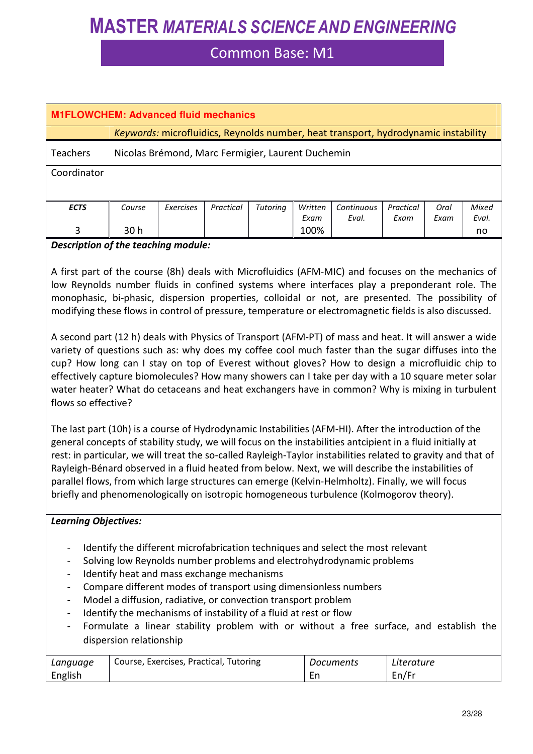### Common Base: M1

| <b>M1FLOWCHEM: Advanced fluid mechanics</b> |                                                                                    |           |           |          |         |            |           |      |       |  |
|---------------------------------------------|------------------------------------------------------------------------------------|-----------|-----------|----------|---------|------------|-----------|------|-------|--|
|                                             | Keywords: microfluidics, Reynolds number, heat transport, hydrodynamic instability |           |           |          |         |            |           |      |       |  |
| <b>Teachers</b>                             | Nicolas Brémond, Marc Fermigier, Laurent Duchemin                                  |           |           |          |         |            |           |      |       |  |
| Coordinator                                 |                                                                                    |           |           |          |         |            |           |      |       |  |
|                                             |                                                                                    |           |           |          |         |            |           |      |       |  |
| <b>ECTS</b>                                 | Course                                                                             | Exercises | Practical | Tutoring | Written | Continuous | Practical | Oral | Mixed |  |
|                                             |                                                                                    |           |           |          | Exam    | Eval.      | Exam      | Exam | Eval. |  |
| 3                                           | 30 h                                                                               |           |           |          | 100%    |            |           |      | no    |  |

#### *Description of the teaching module:*

A first part of the course (8h) deals with Microfluidics (AFM-MIC) and focuses on the mechanics of low Reynolds number fluids in confined systems where interfaces play a preponderant role. The monophasic, bi-phasic, dispersion properties, colloidal or not, are presented. The possibility of modifying these flows in control of pressure, temperature or electromagnetic fields is also discussed.

A second part (12 h) deals with Physics of Transport (AFM-PT) of mass and heat. It will answer a wide variety of questions such as: why does my coffee cool much faster than the sugar diffuses into the cup? How long can I stay on top of Everest without gloves? How to design a microfluidic chip to effectively capture biomolecules? How many showers can I take per day with a 10 square meter solar water heater? What do cetaceans and heat exchangers have in common? Why is mixing in turbulent flows so effective?

The last part (10h) is a course of Hydrodynamic Instabilities (AFM-HI). After the introduction of the general concepts of stability study, we will focus on the instabilities antcipient in a fluid initially at rest: in particular, we will treat the so-called Rayleigh-Taylor instabilities related to gravity and that of Rayleigh-Bénard observed in a fluid heated from below. Next, we will describe the instabilities of parallel flows, from which large structures can emerge (Kelvin-Helmholtz). Finally, we will focus briefly and phenomenologically on isotropic homogeneous turbulence (Kolmogorov theory).

#### *Learning Objectives:*

- Identify the different microfabrication techniques and select the most relevant
- Solving low Reynolds number problems and electrohydrodynamic problems
- Identify heat and mass exchange mechanisms
- Compare different modes of transport using dimensionless numbers
- Model a diffusion, radiative, or convection transport problem
- Identify the mechanisms of instability of a fluid at rest or flow
- Formulate a linear stability problem with or without a free surface, and establish the dispersion relationship

| Language | Course, Exercises, Practical, Tutoring | Documents | Literature |
|----------|----------------------------------------|-----------|------------|
| English  |                                        | ᇊ         | En/Fr      |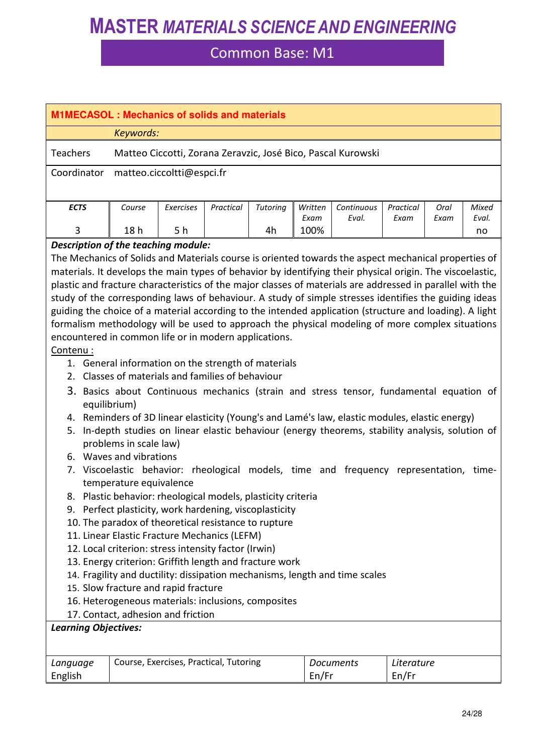| <b>M1MECASOL: Mechanics of solids and materials</b>                                                                                                                                                                                                                                                                                                                                                                                                                                                                                                                                                                                                                                                                                                                                                                                                                                                                                                                                                                                                                                                                                                                                                                                                                                                                                                                                                                                                                                                                                                                                                                                                                                                                                                                                                                                                                                                                                                          |        |                           |           |                 |                 |                     |                   |              |                |
|--------------------------------------------------------------------------------------------------------------------------------------------------------------------------------------------------------------------------------------------------------------------------------------------------------------------------------------------------------------------------------------------------------------------------------------------------------------------------------------------------------------------------------------------------------------------------------------------------------------------------------------------------------------------------------------------------------------------------------------------------------------------------------------------------------------------------------------------------------------------------------------------------------------------------------------------------------------------------------------------------------------------------------------------------------------------------------------------------------------------------------------------------------------------------------------------------------------------------------------------------------------------------------------------------------------------------------------------------------------------------------------------------------------------------------------------------------------------------------------------------------------------------------------------------------------------------------------------------------------------------------------------------------------------------------------------------------------------------------------------------------------------------------------------------------------------------------------------------------------------------------------------------------------------------------------------------------------|--------|---------------------------|-----------|-----------------|-----------------|---------------------|-------------------|--------------|----------------|
| Keywords:                                                                                                                                                                                                                                                                                                                                                                                                                                                                                                                                                                                                                                                                                                                                                                                                                                                                                                                                                                                                                                                                                                                                                                                                                                                                                                                                                                                                                                                                                                                                                                                                                                                                                                                                                                                                                                                                                                                                                    |        |                           |           |                 |                 |                     |                   |              |                |
| <b>Teachers</b><br>Matteo Ciccotti, Zorana Zeravzic, José Bico, Pascal Kurowski                                                                                                                                                                                                                                                                                                                                                                                                                                                                                                                                                                                                                                                                                                                                                                                                                                                                                                                                                                                                                                                                                                                                                                                                                                                                                                                                                                                                                                                                                                                                                                                                                                                                                                                                                                                                                                                                              |        |                           |           |                 |                 |                     |                   |              |                |
| Coordinator                                                                                                                                                                                                                                                                                                                                                                                                                                                                                                                                                                                                                                                                                                                                                                                                                                                                                                                                                                                                                                                                                                                                                                                                                                                                                                                                                                                                                                                                                                                                                                                                                                                                                                                                                                                                                                                                                                                                                  |        | matteo.ciccoltti@espci.fr |           |                 |                 |                     |                   |              |                |
|                                                                                                                                                                                                                                                                                                                                                                                                                                                                                                                                                                                                                                                                                                                                                                                                                                                                                                                                                                                                                                                                                                                                                                                                                                                                                                                                                                                                                                                                                                                                                                                                                                                                                                                                                                                                                                                                                                                                                              |        |                           |           |                 |                 |                     |                   |              |                |
| <b>ECTS</b>                                                                                                                                                                                                                                                                                                                                                                                                                                                                                                                                                                                                                                                                                                                                                                                                                                                                                                                                                                                                                                                                                                                                                                                                                                                                                                                                                                                                                                                                                                                                                                                                                                                                                                                                                                                                                                                                                                                                                  | Course | <b>Exercises</b>          | Practical | <b>Tutoring</b> | Written<br>Exam | Continuous<br>Eval. | Practical<br>Exam | Oral<br>Exam | Mixed<br>Eval. |
| 3                                                                                                                                                                                                                                                                                                                                                                                                                                                                                                                                                                                                                                                                                                                                                                                                                                                                                                                                                                                                                                                                                                                                                                                                                                                                                                                                                                                                                                                                                                                                                                                                                                                                                                                                                                                                                                                                                                                                                            |        | 5 h                       |           | 4h              | 100%            |                     |                   |              | no             |
| 18h<br>Description of the teaching module:<br>The Mechanics of Solids and Materials course is oriented towards the aspect mechanical properties of<br>materials. It develops the main types of behavior by identifying their physical origin. The viscoelastic,<br>plastic and fracture characteristics of the major classes of materials are addressed in parallel with the<br>study of the corresponding laws of behaviour. A study of simple stresses identifies the guiding ideas<br>guiding the choice of a material according to the intended application (structure and loading). A light<br>formalism methodology will be used to approach the physical modeling of more complex situations<br>encountered in common life or in modern applications.<br>Contenu:<br>1. General information on the strength of materials<br>2. Classes of materials and families of behaviour<br>3. Basics about Continuous mechanics (strain and stress tensor, fundamental equation of<br>equilibrium)<br>4. Reminders of 3D linear elasticity (Young's and Lamé's law, elastic modules, elastic energy)<br>In-depth studies on linear elastic behaviour (energy theorems, stability analysis, solution of<br>5.<br>problems in scale law)<br>6. Waves and vibrations<br>7. Viscoelastic behavior: rheological models, time and frequency representation, time-<br>temperature equivalence<br>8. Plastic behavior: rheological models, plasticity criteria<br>9. Perfect plasticity, work hardening, viscoplasticity<br>10. The paradox of theoretical resistance to rupture<br>11. Linear Elastic Fracture Mechanics (LEFM)<br>12. Local criterion: stress intensity factor (Irwin)<br>13. Energy criterion: Griffith length and fracture work<br>14. Fragility and ductility: dissipation mechanisms, length and time scales<br>15. Slow fracture and rapid fracture<br>16. Heterogeneous materials: inclusions, composites<br>17. Contact, adhesion and friction |        |                           |           |                 |                 |                     |                   |              |                |
|                                                                                                                                                                                                                                                                                                                                                                                                                                                                                                                                                                                                                                                                                                                                                                                                                                                                                                                                                                                                                                                                                                                                                                                                                                                                                                                                                                                                                                                                                                                                                                                                                                                                                                                                                                                                                                                                                                                                                              |        |                           |           |                 |                 |                     |                   |              |                |
|                                                                                                                                                                                                                                                                                                                                                                                                                                                                                                                                                                                                                                                                                                                                                                                                                                                                                                                                                                                                                                                                                                                                                                                                                                                                                                                                                                                                                                                                                                                                                                                                                                                                                                                                                                                                                                                                                                                                                              |        |                           |           |                 |                 |                     |                   |              |                |
| Language<br>English                                                                                                                                                                                                                                                                                                                                                                                                                                                                                                                                                                                                                                                                                                                                                                                                                                                                                                                                                                                                                                                                                                                                                                                                                                                                                                                                                                                                                                                                                                                                                                                                                                                                                                                                                                                                                                                                                                                                          |        |                           |           |                 |                 |                     | En/Fr             |              |                |
| <b>Learning Objectives:</b><br>Course, Exercises, Practical, Tutoring<br>Literature<br><b>Documents</b><br>En/Fr                                                                                                                                                                                                                                                                                                                                                                                                                                                                                                                                                                                                                                                                                                                                                                                                                                                                                                                                                                                                                                                                                                                                                                                                                                                                                                                                                                                                                                                                                                                                                                                                                                                                                                                                                                                                                                             |        |                           |           |                 |                 |                     |                   |              |                |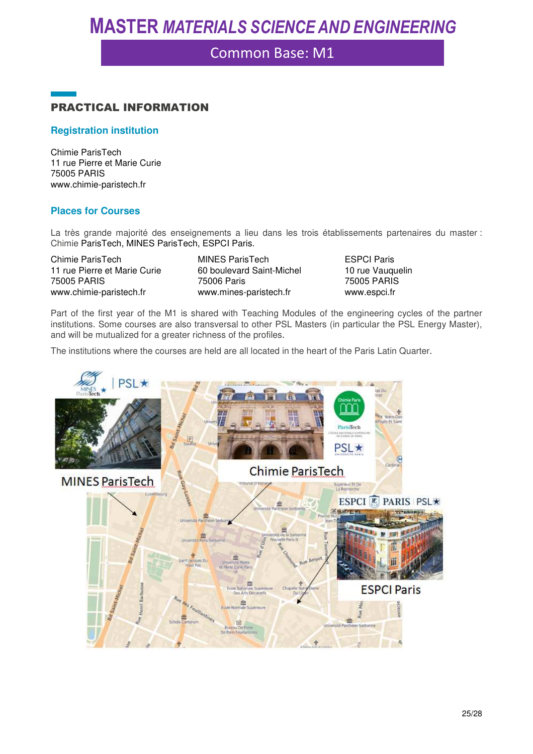### Common Base: M1



#### **Registration institution**

Chimie ParisTech 11 rue Pierre et Marie Curie 75005 PARIS www.chimie-paristech.fr

#### **Places for Courses**

La très grande majorité des enseignements a lieu dans les trois établissements partenaires du master : Chimie ParisTech, MINES ParisTech, ESPCI Paris.

Chimie ParisTech 11 rue Pierre et Marie Curie 75005 PARIS www.chimie-paristech.fr

MINES ParisTech 60 boulevard Saint-Michel 75006 Paris www.mines-paristech.fr

ESPCI Paris 10 rue Vauquelin 75005 PARIS www.espci.fr

Part of the first year of the M1 is shared with Teaching Modules of the engineering cycles of the partner institutions. Some courses are also transversal to other PSL Masters (in particular the PSL Energy Master), and will be mutualized for a greater richness of the profiles.

The institutions where the courses are held are all located in the heart of the Paris Latin Quarter.